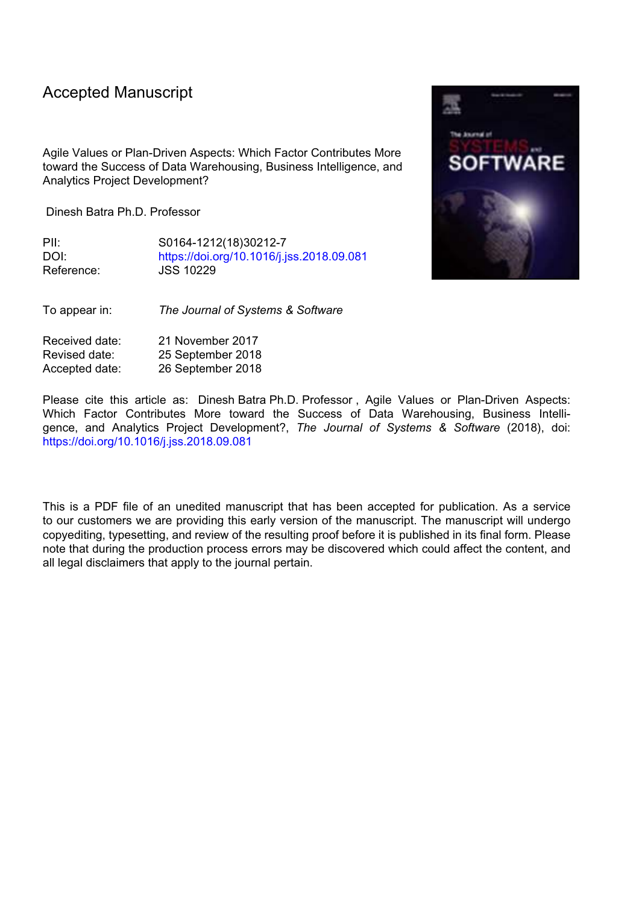# Accepted Manuscript

Agile Values or Plan-Driven Aspects: Which Factor Contributes More toward the Success of Data Warehousing, Business Intelligence, and Analytics Project Development?

Dinesh Batra Ph.D. Professor

PII: S0164-1212(18)30212-7 DOI: https://doi.org/10.1016/j.jss.2018.09.081 Reference: JSS 10229

To appear in: *The Journal of Systems & Software*

Received date: 21 November 2017 Revised date: 25 September 2018 Accepted date: 26 September 2018

Please cite this article as: Dinesh Batra Ph.D. Professor , Agile Values or Plan-Driven Aspects: Which Factor Contributes More toward the Success of Data Warehousing, Business Intelligence, and Analytics Project Development?, *The Journal of Systems & Software* (2018), doi: https://doi.org/10.1016/j.jss.2018.09.081

This is a PDF file of an unedited manuscript that has been accepted for publication. As a service to our customers we are providing this early version of the manuscript. The manuscript will undergo copyediting, typesetting, and review of the resulting proof before it is published in its final form. Please note that during the production process errors may be discovered which could affect the content, and all legal disclaimers that apply to the journal pertain.

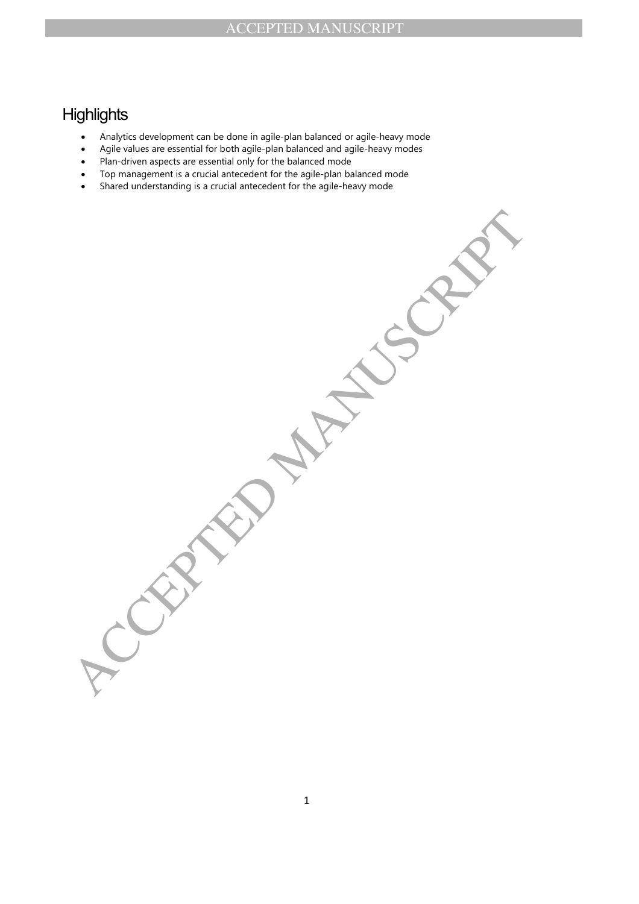**ACCEPTED** 

# **Highlights**

- Analytics development can be done in agile-plan balanced or agile-heavy mode
- Agile values are essential for both agile-plan balanced and agile-heavy modes
- Plan-driven aspects are essential only for the balanced mode
- Top management is a crucial antecedent for the agile-plan balanced mode
- Shared understanding is a crucial antecedent for the agile-heavy mode

1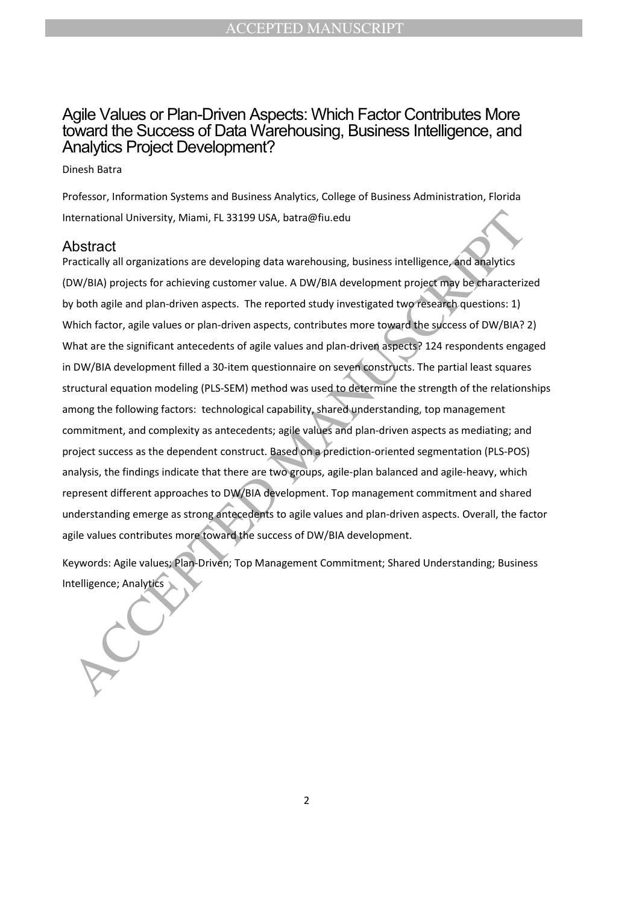# Agile Values or Plan-Driven Aspects: Which Factor Contributes More toward the Success of Data Warehousing, Business Intelligence, and Analytics Project Development?

Dinesh Batra

Professor, Information Systems and Business Analytics, College of Business Administration, Florida International University, Miami, FL 33199 USA, batra@fiu.edu

# Abstract

thermational University, Miami, FL 33199 USA, batra@fuuedu<br>
Abstract<br>
activitally all organizations are developing data warehousing, business intelligence, and analytics<br>
cractically all organizations are developing data w Practically all organizations are developing data warehousing, business intelligence, and analytics (DW/BIA) projects for achieving customer value. A DW/BIA development project may be characterized by both agile and plan-driven aspects. The reported study investigated two research questions: 1) Which factor, agile values or plan-driven aspects, contributes more toward the success of DW/BIA? 2) What are the significant antecedents of agile values and plan-driven aspects? 124 respondents engaged in DW/BIA development filled a 30-item questionnaire on seven constructs. The partial least squares structural equation modeling (PLS-SEM) method was used to determine the strength of the relationships among the following factors: technological capability, shared understanding, top management commitment, and complexity as antecedents; agile values and plan-driven aspects as mediating; and project success as the dependent construct. Based on a prediction-oriented segmentation (PLS-POS) analysis, the findings indicate that there are two groups, agile-plan balanced and agile-heavy, which represent different approaches to DW/BIA development. Top management commitment and shared understanding emerge as strong antecedents to agile values and plan-driven aspects. Overall, the factor agile values contributes more toward the success of DW/BIA development.

Keywords: Agile values; Plan-Driven; Top Management Commitment; Shared Understanding; Business Intelligence; Analytics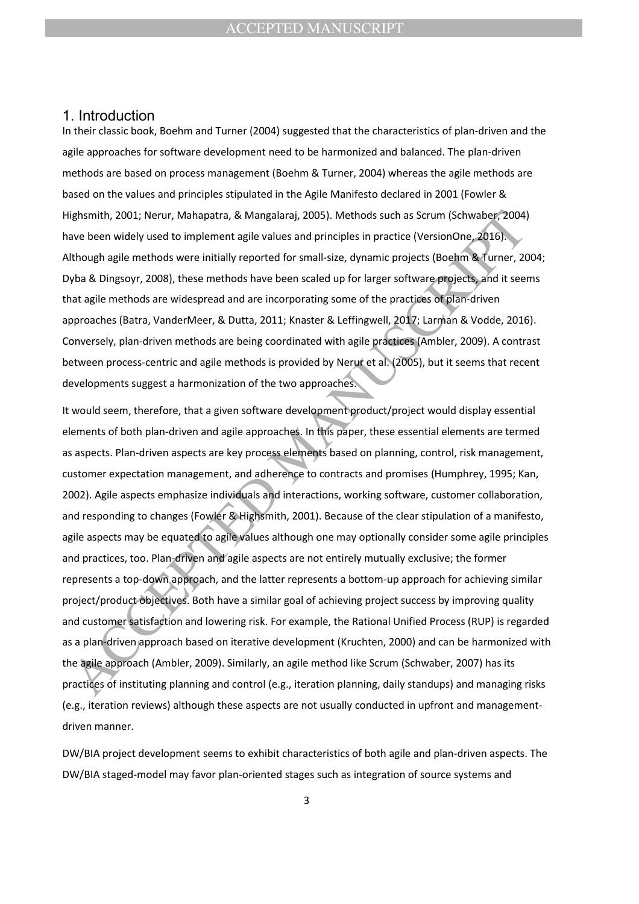## 1. Introduction

In their classic book, Boehm and Turner (2004) suggested that the characteristics of plan-driven and the agile approaches for software development need to be harmonized and balanced. The plan-driven methods are based on process management (Boehm & Turner, 2004) whereas the agile methods are based on the values and principles stipulated in the Agile Manifesto declared in 2001 (Fowler & Highsmith, 2001; Nerur, Mahapatra, & Mangalaraj, 2005). Methods such as Scrum (Schwaber, 2004) have been widely used to implement agile values and principles in practice (VersionOne, 2016). Although agile methods were initially reported for small-size, dynamic projects (Boehm & Turner, 2004; Dyba & Dingsoyr, 2008), these methods have been scaled up for larger software projects, and it seems that agile methods are widespread and are incorporating some of the practices of plan-driven approaches (Batra, VanderMeer, & Dutta, 2011; Knaster & Leffingwell, 2017; Larman & Vodde, 2016). Conversely, plan-driven methods are being coordinated with agile practices (Ambler, 2009). A contrast between process-centric and agile methods is provided by Nerur et al. (2005), but it seems that recent developments suggest a harmonization of the two approaches.

ighsmith, 2001; Nerur, Mahapatra, & Mangalaraj, 2005). Methods such as Scrum (Schwaber/2004)<br>ave been widely used to implement agile vulues and principles in practice (VersionOne, 2004)<br>ave been widely used to implement ag It would seem, therefore, that a given software development product/project would display essential elements of both plan-driven and agile approaches. In this paper, these essential elements are termed as aspects. Plan-driven aspects are key process elements based on planning, control, risk management, customer expectation management, and adherence to contracts and promises (Humphrey, 1995; Kan, 2002). Agile aspects emphasize individuals and interactions, working software, customer collaboration, and responding to changes (Fowler & Highsmith, 2001). Because of the clear stipulation of a manifesto, agile aspects may be equated to agile values although one may optionally consider some agile principles and practices, too. Plan-driven and agile aspects are not entirely mutually exclusive; the former represents a top-down approach, and the latter represents a bottom-up approach for achieving similar project/product objectives. Both have a similar goal of achieving project success by improving quality and customer satisfaction and lowering risk. For example, the Rational Unified Process (RUP) is regarded as a plan-driven approach based on iterative development (Kruchten, 2000) and can be harmonized with the agile approach (Ambler, 2009). Similarly, an agile method like Scrum (Schwaber, 2007) has its practices of instituting planning and control (e.g., iteration planning, daily standups) and managing risks (e.g., iteration reviews) although these aspects are not usually conducted in upfront and managementdriven manner.

DW/BIA project development seems to exhibit characteristics of both agile and plan-driven aspects. The DW/BIA staged-model may favor plan-oriented stages such as integration of source systems and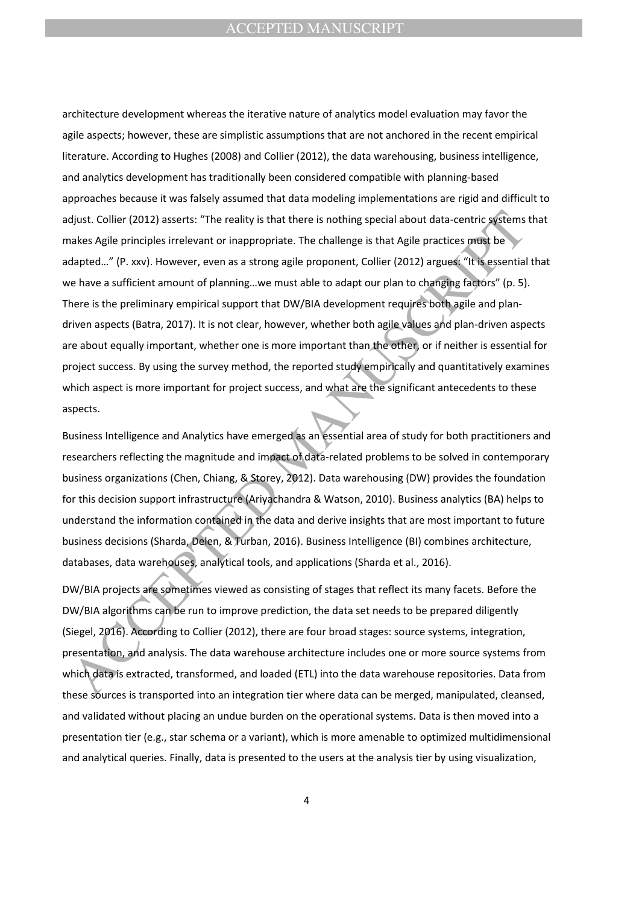djust. Collier (2012) asserts: "The reality is that there is nothing special about data-centric spitems that<br>shares Agile principles irrelevant or inappropriate. The challenge is that Agile practices protes be<br>adapted..." architecture development whereas the iterative nature of analytics model evaluation may favor the agile aspects; however, these are simplistic assumptions that are not anchored in the recent empirical literature. According to Hughes (2008) and Collier (2012), the data warehousing, business intelligence, and analytics development has traditionally been considered compatible with planning-based approaches because it was falsely assumed that data modeling implementations are rigid and difficult to adjust. Collier (2012) asserts: "The reality is that there is nothing special about data-centric systems that makes Agile principles irrelevant or inappropriate. The challenge is that Agile practices must be adapted…" (P. xxv). However, even as a strong agile proponent, Collier (2012) argues: "It is essential that we have a sufficient amount of planning…we must able to adapt our plan to changing factors" (p. 5). There is the preliminary empirical support that DW/BIA development requires both agile and plandriven aspects (Batra, 2017). It is not clear, however, whether both agile values and plan-driven aspects are about equally important, whether one is more important than the other, or if neither is essential for project success. By using the survey method, the reported study empirically and quantitatively examines which aspect is more important for project success, and what are the significant antecedents to these aspects.

Business Intelligence and Analytics have emerged as an essential area of study for both practitioners and researchers reflecting the magnitude and impact of data-related problems to be solved in contemporary business organizations (Chen, Chiang, & Storey, 2012). Data warehousing (DW) provides the foundation for this decision support infrastructure (Ariyachandra & Watson, 2010). Business analytics (BA) helps to understand the information contained in the data and derive insights that are most important to future business decisions (Sharda, Delen, & Turban, 2016). Business Intelligence (BI) combines architecture, databases, data warehouses, analytical tools, and applications (Sharda et al., 2016).

DW/BIA projects are sometimes viewed as consisting of stages that reflect its many facets. Before the DW/BIA algorithms can be run to improve prediction, the data set needs to be prepared diligently (Siegel, 2016). According to Collier (2012), there are four broad stages: source systems, integration, presentation, and analysis. The data warehouse architecture includes one or more source systems from which data is extracted, transformed, and loaded (ETL) into the data warehouse repositories. Data from these sources is transported into an integration tier where data can be merged, manipulated, cleansed, and validated without placing an undue burden on the operational systems. Data is then moved into a presentation tier (e.g., star schema or a variant), which is more amenable to optimized multidimensional and analytical queries. Finally, data is presented to the users at the analysis tier by using visualization,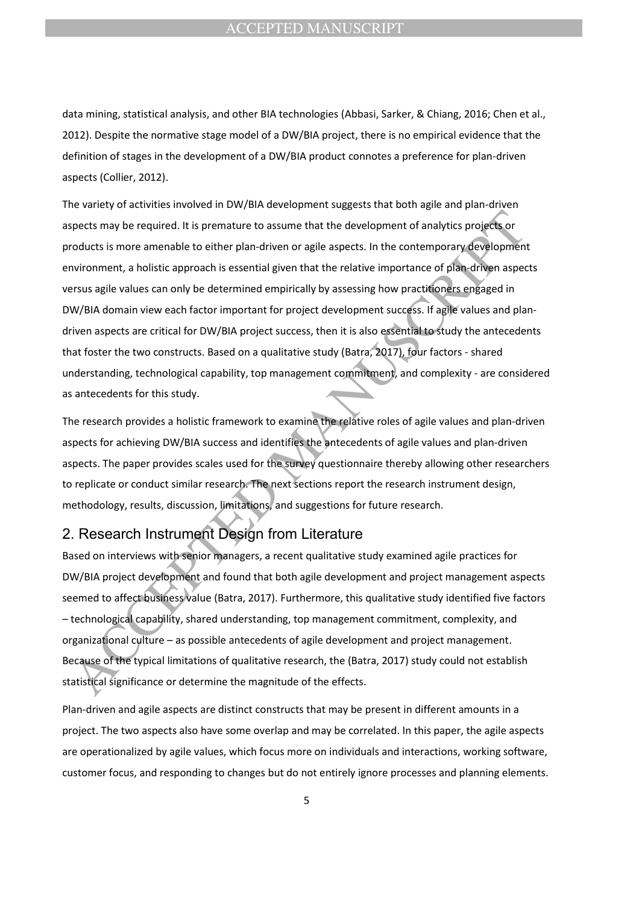data mining, statistical analysis, and other BIA technologies (Abbasi, Sarker, & Chiang, 2016; Chen et al., 2012). Despite the normative stage model of a DW/BIA project, there is no empirical evidence that the definition of stages in the development of a DW/BIA product connotes a preference for plan-driven aspects (Collier, 2012).

spects may be required. It is premature to assume that the development of analytics projects or<br>roducts is more amenable to either plan-driven or agile aspects. In the contemporary development<br>roducts is more amenable to e The variety of activities involved in DW/BIA development suggests that both agile and plan-driven aspects may be required. It is premature to assume that the development of analytics projects or products is more amenable to either plan-driven or agile aspects. In the contemporary development environment, a holistic approach is essential given that the relative importance of plan-driven aspects versus agile values can only be determined empirically by assessing how practitioners engaged in DW/BIA domain view each factor important for project development success. If agile values and plandriven aspects are critical for DW/BIA project success, then it is also essential to study the antecedents that foster the two constructs. Based on a qualitative study (Batra, 2017), four factors - shared understanding, technological capability, top management commitment, and complexity - are considered as antecedents for this study.

The research provides a holistic framework to examine the relative roles of agile values and plan-driven aspects for achieving DW/BIA success and identifies the antecedents of agile values and plan-driven aspects. The paper provides scales used for the survey questionnaire thereby allowing other researchers to replicate or conduct similar research. The next sections report the research instrument design, methodology, results, discussion, limitations, and suggestions for future research.

# 2. Research Instrument Design from Literature

Based on interviews with senior managers, a recent qualitative study examined agile practices for DW/BIA project development and found that both agile development and project management aspects seemed to affect business value (Batra, 2017). Furthermore, this qualitative study identified five factors – technological capability, shared understanding, top management commitment, complexity, and organizational culture – as possible antecedents of agile development and project management. Because of the typical limitations of qualitative research, the (Batra, 2017) study could not establish statistical significance or determine the magnitude of the effects.

Plan-driven and agile aspects are distinct constructs that may be present in different amounts in a project. The two aspects also have some overlap and may be correlated. In this paper, the agile aspects are operationalized by agile values, which focus more on individuals and interactions, working software, customer focus, and responding to changes but do not entirely ignore processes and planning elements.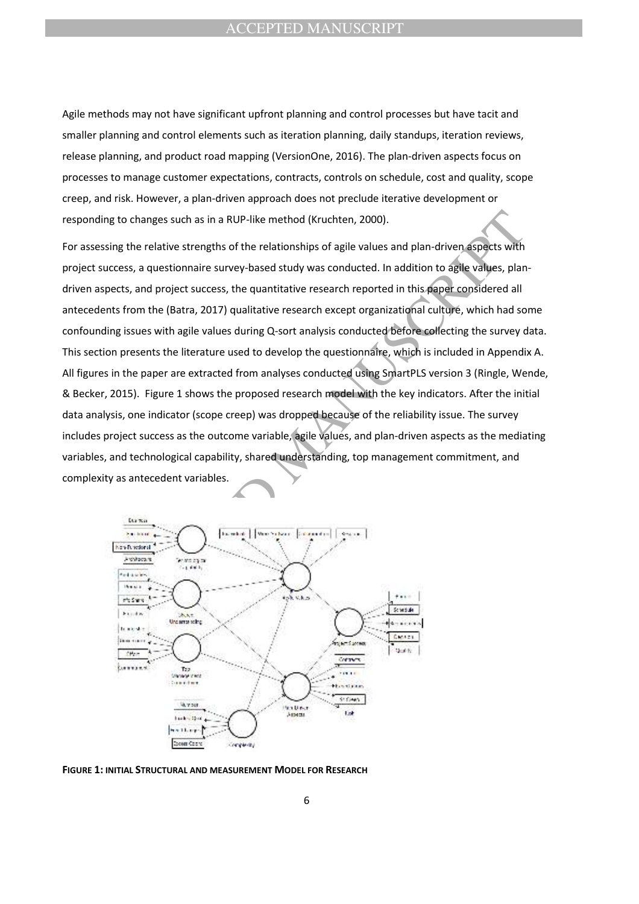Agile methods may not have significant upfront planning and control processes but have tacit and smaller planning and control elements such as iteration planning, daily standups, iteration reviews, release planning, and product road mapping (VersionOne, 2016). The plan-driven aspects focus on processes to manage customer expectations, contracts, controls on schedule, cost and quality, scope creep, and risk. However, a plan-driven approach does not preclude iterative development or responding to changes such as in a RUP-like method (Kruchten, 2000).

Example the relative state has in a RUP-like method (Kruchten, 2000).<br>
or assessing the relative strengths of the relationships of agile values and plan-driven aspects with<br>
roject success, a questionnaire survey-based st For assessing the relative strengths of the relationships of agile values and plan-driven aspects with project success, a questionnaire survey-based study was conducted. In addition to agile values, plandriven aspects, and project success, the quantitative research reported in this paper considered all antecedents from the (Batra, 2017) qualitative research except organizational culture, which had some confounding issues with agile values during Q-sort analysis conducted before collecting the survey data. This section presents the literature used to develop the questionnaire, which is included in Appendix A. All figures in the paper are extracted from analyses conducted using SmartPLS version 3 (Ringle, Wende, & Becker, 2015). Figure 1 shows the proposed research model with the key indicators. After the initial data analysis, one indicator (scope creep) was dropped because of the reliability issue. The survey includes project success as the outcome variable, agile values, and plan-driven aspects as the mediating variables, and technological capability, shared understanding, top management commitment, and complexity as antecedent variables.



**FIGURE 1: INITIAL STRUCTURAL AND MEASUREMENT MODEL FOR RESEARCH**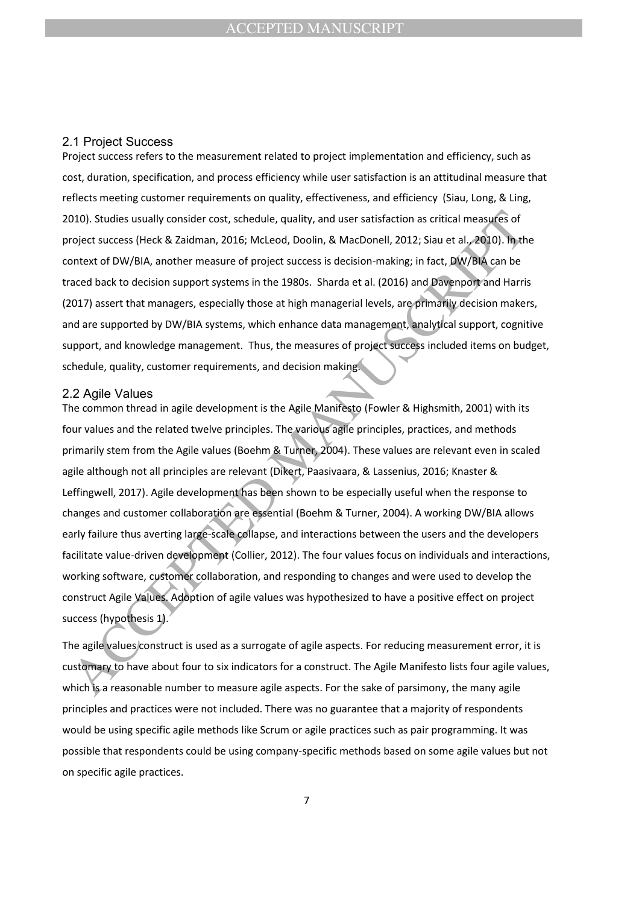#### 2.1 Project Success

Project success refers to the measurement related to project implementation and efficiency, such as cost, duration, specification, and process efficiency while user satisfaction is an attitudinal measure that reflects meeting customer requirements on quality, effectiveness, and efficiency (Siau, Long, & Ling, 2010). Studies usually consider cost, schedule, quality, and user satisfaction as critical measures of project success (Heck & Zaidman, 2016; McLeod, Doolin, & MacDonell, 2012; Siau et al., 2010). In the context of DW/BIA, another measure of project success is decision-making; in fact, DW/BIA can be traced back to decision support systems in the 1980s. Sharda et al. (2016) and Davenport and Harris (2017) assert that managers, especially those at high managerial levels, are primarily decision makers, and are supported by DW/BIA systems, which enhance data management, analytical support, cognitive support, and knowledge management. Thus, the measures of project success included items on budget, schedule, quality, customer requirements, and decision making.

#### 2.2 Agile Values

010). Studies usually consider cost, schedule, quality, and user satisfaction as critical measyies of<br>roject success (Heck & Zaidman, 2016; McLeod, Doolin, & MacConell, 2012; Siau et al., 2010). In the<br>ontext of DW/BM, ano The common thread in agile development is the Agile Manifesto (Fowler & Highsmith, 2001) with its four values and the related twelve principles. The various agile principles, practices, and methods primarily stem from the Agile values (Boehm & Turner, 2004). These values are relevant even in scaled agile although not all principles are relevant (Dikert, Paasivaara, & Lassenius, 2016; Knaster & Leffingwell, 2017). Agile development has been shown to be especially useful when the response to changes and customer collaboration are essential (Boehm & Turner, 2004). A working DW/BIA allows early failure thus averting large-scale collapse, and interactions between the users and the developers facilitate value-driven development (Collier, 2012). The four values focus on individuals and interactions, working software, customer collaboration, and responding to changes and were used to develop the construct Agile Values. Adoption of agile values was hypothesized to have a positive effect on project success (hypothesis 1).

The agile values construct is used as a surrogate of agile aspects. For reducing measurement error, it is customary to have about four to six indicators for a construct. The Agile Manifesto lists four agile values, which is a reasonable number to measure agile aspects. For the sake of parsimony, the many agile principles and practices were not included. There was no guarantee that a majority of respondents would be using specific agile methods like Scrum or agile practices such as pair programming. It was possible that respondents could be using company-specific methods based on some agile values but not on specific agile practices.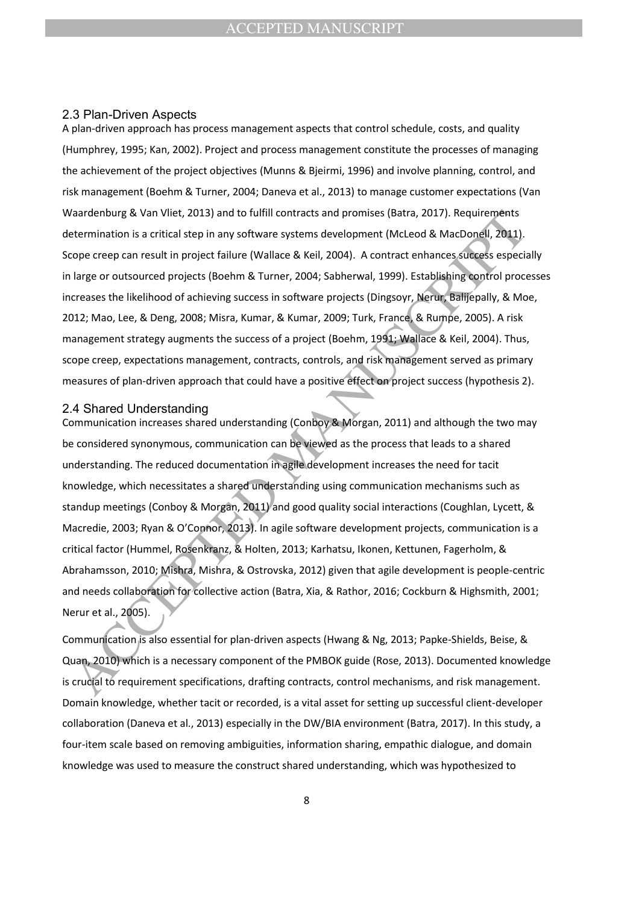#### 2.3 Plan-Driven Aspects

A plan-driven approach has process management aspects that control schedule, costs, and quality (Humphrey, 1995; Kan, 2002). Project and process management constitute the processes of managing the achievement of the project objectives (Munns & Bjeirmi, 1996) and involve planning, control, and risk management (Boehm & Turner, 2004; Daneva et al., 2013) to manage customer expectations (Van Waardenburg & Van Vliet, 2013) and to fulfill contracts and promises (Batra, 2017). Requirements determination is a critical step in any software systems development (McLeod & MacDonell, 2011). Scope creep can result in project failure (Wallace & Keil, 2004). A contract enhances success especially in large or outsourced projects (Boehm & Turner, 2004; Sabherwal, 1999). Establishing control processes increases the likelihood of achieving success in software projects (Dingsoyr, Nerur, Balijepally, & Moe, 2012; Mao, Lee, & Deng, 2008; Misra, Kumar, & Kumar, 2009; Turk, France, & Rumpe, 2005). A risk management strategy augments the success of a project (Boehm, 1991; Wallace & Keil, 2004). Thus, scope creep, expectations management, contracts, controls, and risk management served as primary measures of plan-driven approach that could have a positive effect on project success (hypothesis 2).

#### 2.4 Shared Understanding

Vaardenburg & Van Vliet, 2013) and to fulfill contracts and promises (Batra, 2017). Requirements<br>elemination is a critical step in any of Warer systems development (Mctecol & MacDonell, 2013).<br>
Rope creep can result in pro Communication increases shared understanding (Conboy & Morgan, 2011) and although the two may be considered synonymous, communication can be viewed as the process that leads to a shared understanding. The reduced documentation in agile development increases the need for tacit knowledge, which necessitates a shared understanding using communication mechanisms such as standup meetings (Conboy & Morgan, 2011) and good quality social interactions (Coughlan, Lycett, & Macredie, 2003; Ryan & O'Connor, 2013). In agile software development projects, communication is a critical factor (Hummel, Rosenkranz, & Holten, 2013; Karhatsu, Ikonen, Kettunen, Fagerholm, & Abrahamsson, 2010; Mishra, Mishra, & Ostrovska, 2012) given that agile development is people-centric and needs collaboration for collective action (Batra, Xia, & Rathor, 2016; Cockburn & Highsmith, 2001; Nerur et al., 2005).

Communication is also essential for plan-driven aspects (Hwang & Ng, 2013; Papke-Shields, Beise, & Quan, 2010) which is a necessary component of the PMBOK guide (Rose, 2013). Documented knowledge is crucial to requirement specifications, drafting contracts, control mechanisms, and risk management. Domain knowledge, whether tacit or recorded, is a vital asset for setting up successful client-developer collaboration (Daneva et al., 2013) especially in the DW/BIA environment (Batra, 2017). In this study, a four-item scale based on removing ambiguities, information sharing, empathic dialogue, and domain knowledge was used to measure the construct shared understanding, which was hypothesized to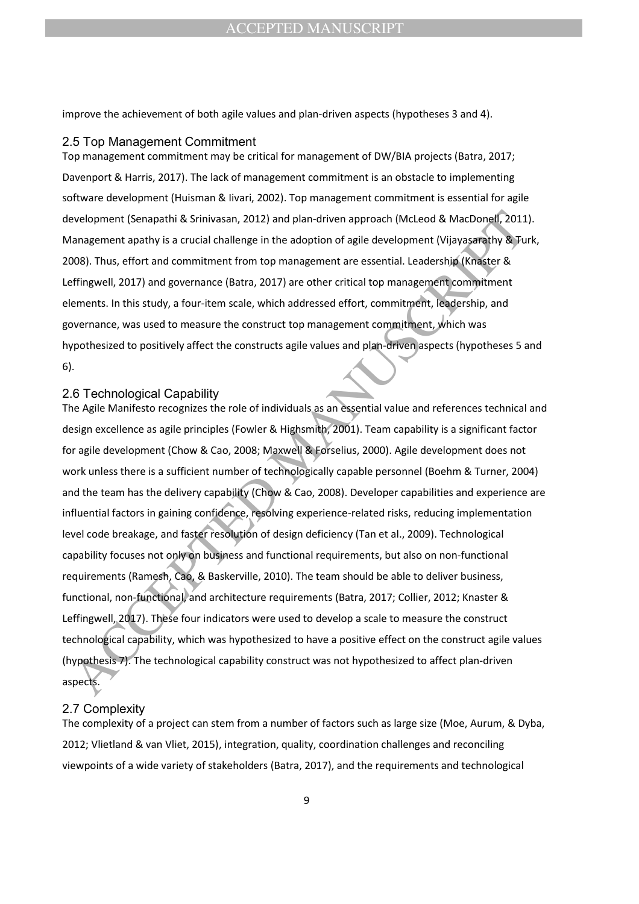improve the achievement of both agile values and plan-driven aspects (hypotheses 3 and 4).

#### 2.5 Top Management Commitment

Top management commitment may be critical for management of DW/BIA projects (Batra, 2017; Davenport & Harris, 2017). The lack of management commitment is an obstacle to implementing software development (Huisman & Iivari, 2002). Top management commitment is essential for agile development (Senapathi & Srinivasan, 2012) and plan-driven approach (McLeod & MacDonell, 2011). Management apathy is a crucial challenge in the adoption of agile development (Vijayasarathy & Turk, 2008). Thus, effort and commitment from top management are essential. Leadership (Knaster & Leffingwell, 2017) and governance (Batra, 2017) are other critical top management commitment elements. In this study, a four-item scale, which addressed effort, commitment, leadership, and governance, was used to measure the construct top management commitment, which was hypothesized to positively affect the constructs agile values and plan-driven aspects (hypotheses 5 and 6).

#### 2.6 Technological Capability

evelopment (Senapathi & Srinivasan, 2012) and plan-driven approach (McLeod & MacDongli, 2011).<br>Thangement apathy is a crucial challenge in the adoption of agile development (Vijayasrathy & Turk,<br>effingwell, 7thus, effort a The Agile Manifesto recognizes the role of individuals as an essential value and references technical and design excellence as agile principles (Fowler & Highsmith, 2001). Team capability is a significant factor for agile development (Chow & Cao, 2008; Maxwell & Forselius, 2000). Agile development does not work unless there is a sufficient number of technologically capable personnel (Boehm & Turner, 2004) and the team has the delivery capability (Chow & Cao, 2008). Developer capabilities and experience are influential factors in gaining confidence, resolving experience-related risks, reducing implementation level code breakage, and faster resolution of design deficiency (Tan et al., 2009). Technological capability focuses not only on business and functional requirements, but also on non-functional requirements (Ramesh, Cao, & Baskerville, 2010). The team should be able to deliver business, functional, non-functional, and architecture requirements (Batra, 2017; Collier, 2012; Knaster & Leffingwell, 2017). These four indicators were used to develop a scale to measure the construct technological capability, which was hypothesized to have a positive effect on the construct agile values (hypothesis 7). The technological capability construct was not hypothesized to affect plan-driven aspects.

### 2.7 Complexity

The complexity of a project can stem from a number of factors such as large size (Moe, Aurum, & Dyba, 2012; Vlietland & van Vliet, 2015), integration, quality, coordination challenges and reconciling viewpoints of a wide variety of stakeholders (Batra, 2017), and the requirements and technological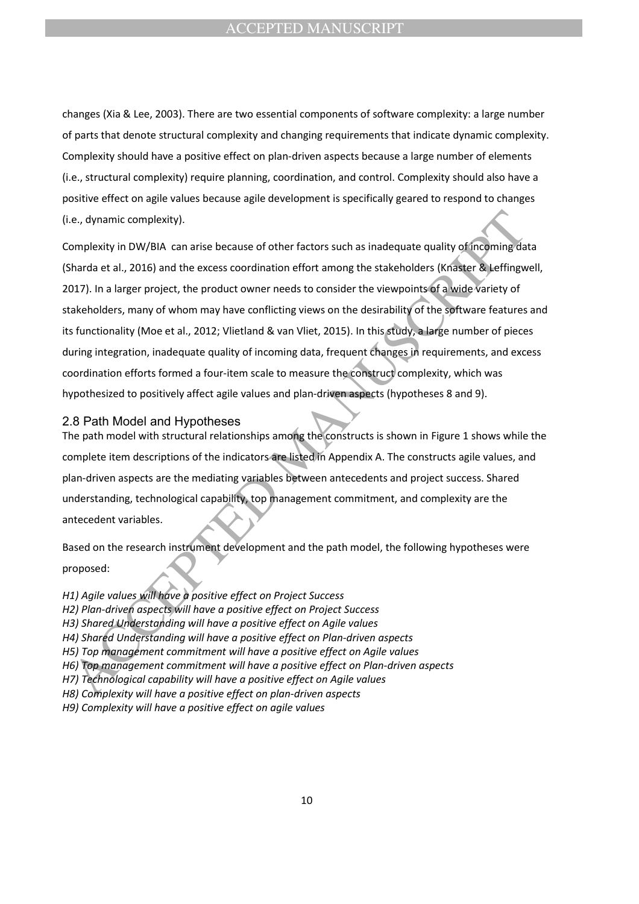changes (Xia & Lee, 2003). There are two essential components of software complexity: a large number of parts that denote structural complexity and changing requirements that indicate dynamic complexity. Complexity should have a positive effect on plan-driven aspects because a large number of elements (i.e., structural complexity) require planning, coordination, and control. Complexity should also have a positive effect on agile values because agile development is specifically geared to respond to changes (i.e., dynamic complexity).

.e., dynamic complexity).<br>
.e., dynamic complexity in DW/BIA can arise because of other factors such as inadequate quality of incoming data<br>
biarda et al., 2016) and the excess coordination effort among the stakeholders (K Complexity in DW/BIA can arise because of other factors such as inadequate quality of incoming data (Sharda et al., 2016) and the excess coordination effort among the stakeholders (Knaster & Leffingwell, 2017). In a larger project, the product owner needs to consider the viewpoints of a wide variety of stakeholders, many of whom may have conflicting views on the desirability of the software features and its functionality (Moe et al., 2012; Vlietland & van Vliet, 2015). In this study, a large number of pieces during integration, inadequate quality of incoming data, frequent changes in requirements, and excess coordination efforts formed a four-item scale to measure the construct complexity, which was hypothesized to positively affect agile values and plan-driven aspects (hypotheses 8 and 9).

### 2.8 Path Model and Hypotheses

The path model with structural relationships among the constructs is shown in Figure 1 shows while the complete item descriptions of the indicators are listed in Appendix A. The constructs agile values, and plan-driven aspects are the mediating variables between antecedents and project success. Shared understanding, technological capability, top management commitment, and complexity are the antecedent variables.

Based on the research instrument development and the path model, the following hypotheses were proposed:

- *H1) Agile values will have a positive effect on Project Success*
- *H2) Plan-driven aspects will have a positive effect on Project Success*
- *H3) Shared Understanding will have a positive effect on Agile values*
- *H4) Shared Understanding will have a positive effect on Plan-driven aspects*
- *H5) Top management commitment will have a positive effect on Agile values*
- *H6) Top management commitment will have a positive effect on Plan-driven aspects*
- *H7) Technological capability will have a positive effect on Agile values*
- *H8) Complexity will have a positive effect on plan-driven aspects*
- *H9) Complexity will have a positive effect on agile values*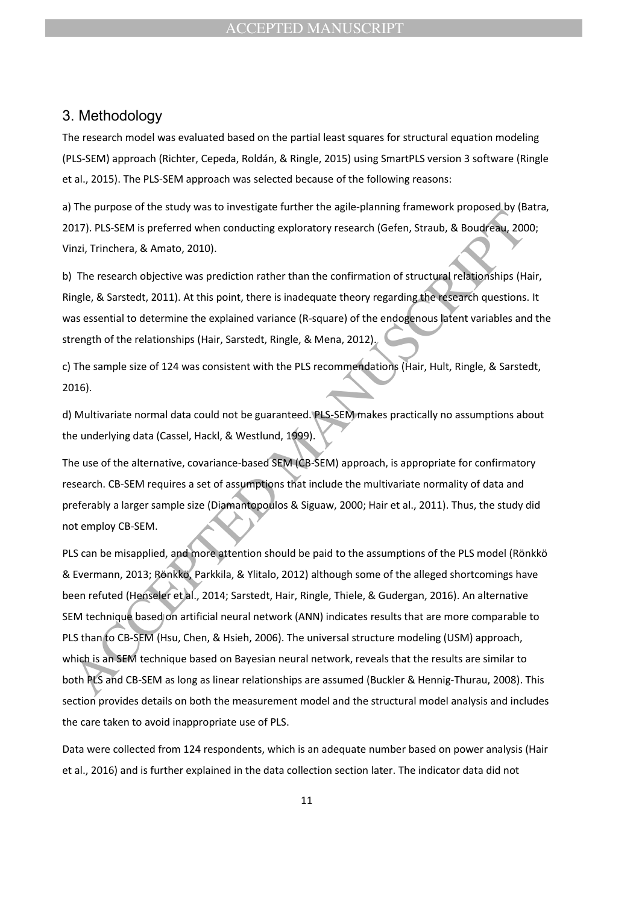## 3. Methodology

The research model was evaluated based on the partial least squares for structural equation modeling (PLS-SEM) approach (Richter, Cepeda, Roldán, & Ringle, 2015) using SmartPLS version 3 software (Ringle et al., 2015). The PLS-SEM approach was selected because of the following reasons:

a) The purpose of the study was to investigate further the agile-planning framework proposed by (Batra, 2017). PLS-SEM is preferred when conducting exploratory research (Gefen, Straub, & Boudreau, 2000; Vinzi, Trinchera, & Amato, 2010).

b) The research objective was prediction rather than the confirmation of structural relationships (Hair, Ringle, & Sarstedt, 2011). At this point, there is inadequate theory regarding the research questions. It was essential to determine the explained variance (R-square) of the endogenous latent variables and the strength of the relationships (Hair, Sarstedt, Ringle, & Mena, 2012).

c) The sample size of 124 was consistent with the PLS recommendations (Hair, Hult, Ringle, & Sarstedt, 2016).

d) Multivariate normal data could not be guaranteed. PLS-SEM makes practically no assumptions about the underlying data (Cassel, Hackl, & Westlund, 1999).

The use of the alternative, covariance-based SEM (CB-SEM) approach, is appropriate for confirmatory research. CB-SEM requires a set of assumptions that include the multivariate normality of data and preferably a larger sample size (Diamantopoulos & Siguaw, 2000; Hair et al., 2011). Thus, the study did not employ CB-SEM.

The Purpewber the Reader of the alternative control and the CE-SERM (Hsu, Chen, & Houdcast, Peace<br>
2017). PLS SEM is preferred when conducting exploratory research (Gefen, Straub, & Boudcast, 2000;<br>
2017). PLS SEM is prefe PLS can be misapplied, and more attention should be paid to the assumptions of the PLS model (Rönkkö & Evermann, 2013; Rönkkö, Parkkila, & Ylitalo, 2012) although some of the alleged shortcomings have been refuted (Henseler et al., 2014; Sarstedt, Hair, Ringle, Thiele, & Gudergan, 2016). An alternative SEM technique based on artificial neural network (ANN) indicates results that are more comparable to PLS than to CB-SEM (Hsu, Chen, & Hsieh, 2006). The universal structure modeling (USM) approach, which is an SEM technique based on Bayesian neural network, reveals that the results are similar to both PLS and CB-SEM as long as linear relationships are assumed (Buckler & Hennig-Thurau, 2008). This section provides details on both the measurement model and the structural model analysis and includes the care taken to avoid inappropriate use of PLS.

Data were collected from 124 respondents, which is an adequate number based on power analysis (Hair et al., 2016) and is further explained in the data collection section later. The indicator data did not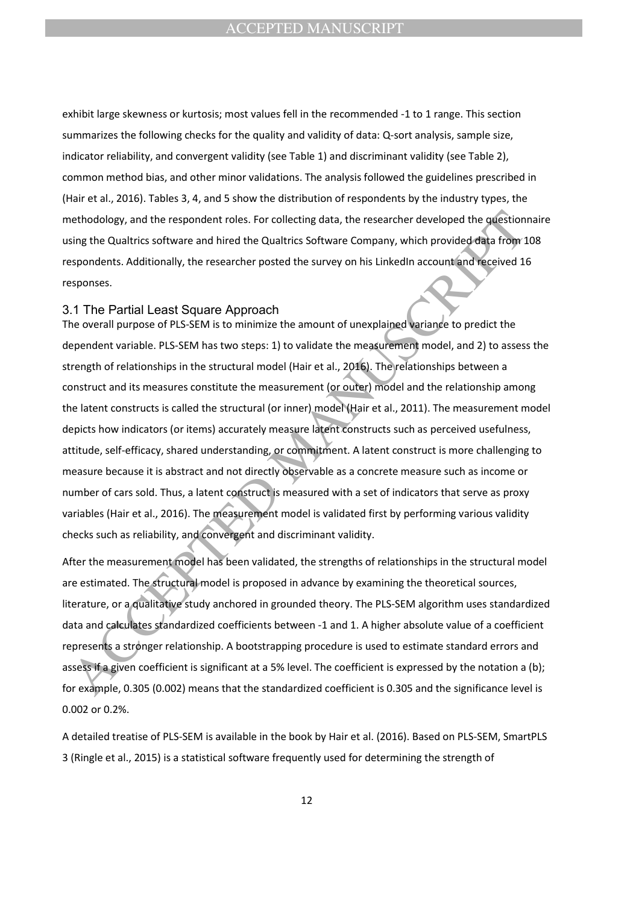exhibit large skewness or kurtosis; most values fell in the recommended -1 to 1 range. This section summarizes the following checks for the quality and validity of data: Q-sort analysis, sample size, indicator reliability, and convergent validity (see Table 1) and discriminant validity (see Table 2), common method bias, and other minor validations. The analysis followed the guidelines prescribed in (Hair et al., 2016). Tables 3, 4, and 5 show the distribution of respondents by the industry types, the methodology, and the respondent roles. For collecting data, the researcher developed the questionnaire using the Qualtrics software and hired the Qualtrics Software Company, which provided data from 108 respondents. Additionally, the researcher posted the survey on his LinkedIn account and received 16 responses.

#### 3.1 The Partial Least Square Approach

nethodology, and the respondent roles. For collecting data, the researcher developed the guestionna<br>sing the Qualitrics software and hired the Qualitrics Software Company, which provided data from 108<br>spondents. Additional The overall purpose of PLS-SEM is to minimize the amount of unexplained variance to predict the dependent variable. PLS-SEM has two steps: 1) to validate the measurement model, and 2) to assess the strength of relationships in the structural model (Hair et al., 2016). The relationships between a construct and its measures constitute the measurement (or outer) model and the relationship among the latent constructs is called the structural (or inner) model (Hair et al., 2011). The measurement model depicts how indicators (or items) accurately measure latent constructs such as perceived usefulness, attitude, self-efficacy, shared understanding, or commitment. A latent construct is more challenging to measure because it is abstract and not directly observable as a concrete measure such as income or number of cars sold. Thus, a latent construct is measured with a set of indicators that serve as proxy variables (Hair et al., 2016). The measurement model is validated first by performing various validity checks such as reliability, and convergent and discriminant validity.

After the measurement model has been validated, the strengths of relationships in the structural model are estimated. The structural model is proposed in advance by examining the theoretical sources, literature, or a qualitative study anchored in grounded theory. The PLS-SEM algorithm uses standardized data and calculates standardized coefficients between -1 and 1. A higher absolute value of a coefficient represents a stronger relationship. A bootstrapping procedure is used to estimate standard errors and assess if a given coefficient is significant at a 5% level. The coefficient is expressed by the notation a (b); for example, 0.305 (0.002) means that the standardized coefficient is 0.305 and the significance level is 0.002 or 0.2%.

A detailed treatise of PLS-SEM is available in the book by Hair et al. (2016). Based on PLS-SEM, SmartPLS 3 (Ringle et al., 2015) is a statistical software frequently used for determining the strength of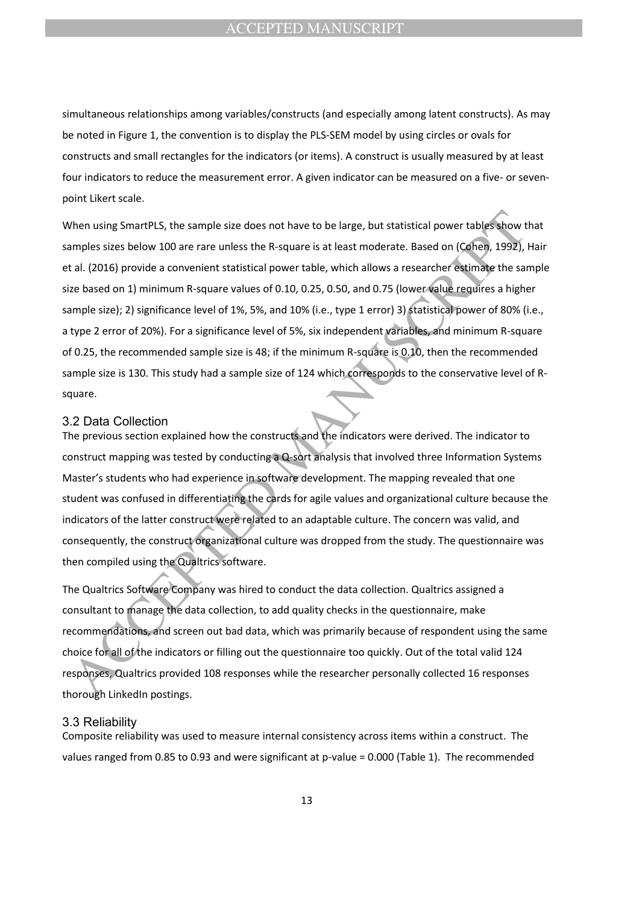simultaneous relationships among variables/constructs (and especially among latent constructs). As may be noted in Figure 1, the convention is to display the PLS-SEM model by using circles or ovals for constructs and small rectangles for the indicators (or items). A construct is usually measured by at least four indicators to reduce the measurement error. A given indicator can be measured on a five- or sevenpoint Likert scale.

When using SmartPLS, the sample size does not have to be large, but statistical power tables show thamples sizes below 100 are rare unless the R-square is at least moderate. Based on (Conen, 1992), Ha al. (2016) provide a When using SmartPLS, the sample size does not have to be large, but statistical power tables show that samples sizes below 100 are rare unless the R-square is at least moderate. Based on (Cohen, 1992), Hair et al. (2016) provide a convenient statistical power table, which allows a researcher estimate the sample size based on 1) minimum R-square values of 0.10, 0.25, 0.50, and 0.75 (lower value requires a higher sample size); 2) significance level of 1%, 5%, and 10% (i.e., type 1 error) 3) statistical power of 80% (i.e., a type 2 error of 20%). For a significance level of 5%, six independent variables, and minimum R-square of 0.25, the recommended sample size is 48; if the minimum R-square is 0.10, then the recommended sample size is 130. This study had a sample size of 124 which corresponds to the conservative level of Rsquare.

#### 3.2 Data Collection

The previous section explained how the constructs and the indicators were derived. The indicator to construct mapping was tested by conducting a Q-sort analysis that involved three Information Systems Master's students who had experience in software development. The mapping revealed that one student was confused in differentiating the cards for agile values and organizational culture because the indicators of the latter construct were related to an adaptable culture. The concern was valid, and consequently, the construct organizational culture was dropped from the study. The questionnaire was then compiled using the Qualtrics software.

The Qualtrics Software Company was hired to conduct the data collection. Qualtrics assigned a consultant to manage the data collection, to add quality checks in the questionnaire, make recommendations, and screen out bad data, which was primarily because of respondent using the same choice for all of the indicators or filling out the questionnaire too quickly. Out of the total valid 124 responses, Qualtrics provided 108 responses while the researcher personally collected 16 responses thorough LinkedIn postings.

#### 3.3 Reliability

Composite reliability was used to measure internal consistency across items within a construct. The values ranged from 0.85 to 0.93 and were significant at p-value = 0.000 (Table 1). The recommended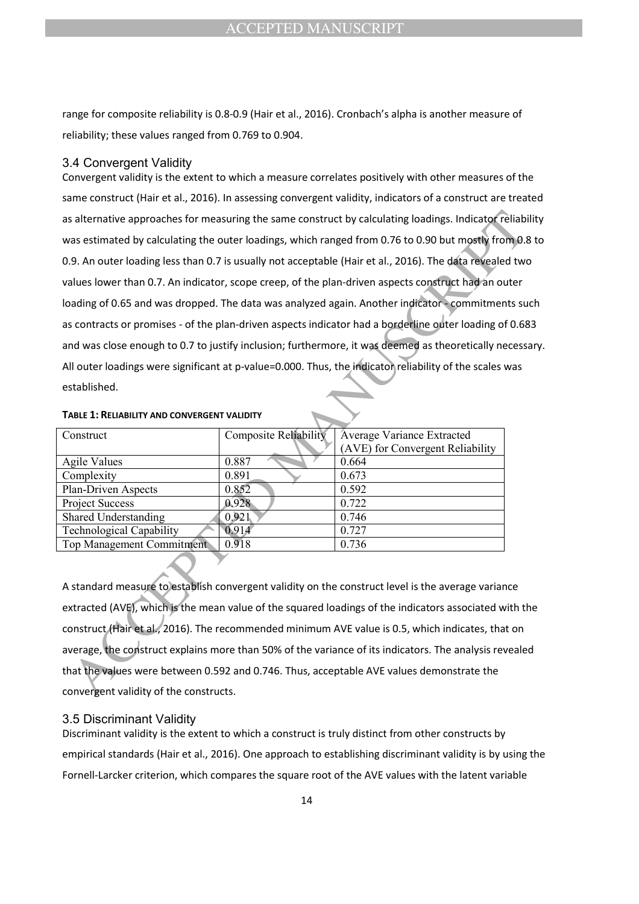range for composite reliability is 0.8-0.9 (Hair et al., 2016). Cronbach's alpha is another measure of reliability; these values ranged from 0.769 to 0.904.

#### 3.4 Convergent Validity

and the state of measuring the same construct by calculating loadings. Indicator Celiability<br>
as estimated by calculating the outer loadings, which ranged from 0.76 to 0.90 but mostly from 0.8 to<br>
S. An outer loading less Convergent validity is the extent to which a measure correlates positively with other measures of the same construct (Hair et al., 2016). In assessing convergent validity, indicators of a construct are treated as alternative approaches for measuring the same construct by calculating loadings. Indicator reliability was estimated by calculating the outer loadings, which ranged from 0.76 to 0.90 but mostly from 0.8 to 0.9. An outer loading less than 0.7 is usually not acceptable (Hair et al., 2016). The data revealed two values lower than 0.7. An indicator, scope creep, of the plan-driven aspects construct had an outer loading of 0.65 and was dropped. The data was analyzed again. Another indicator - commitments such as contracts or promises - of the plan-driven aspects indicator had a borderline outer loading of 0.683 and was close enough to 0.7 to justify inclusion; furthermore, it was deemed as theoretically necessary. All outer loadings were significant at p-value=0.000. Thus, the indicator reliability of the scales was established.

| Construct                        | Composite Reliability | Average Variance Extracted       |
|----------------------------------|-----------------------|----------------------------------|
|                                  |                       | (AVE) for Convergent Reliability |
| Agile Values                     | 0.887                 | 0.664                            |
| Complexity                       | 0.891                 | 0.673                            |
| Plan-Driven Aspects              | 0.852                 | 0.592                            |
| <b>Project Success</b>           | 0.928                 | 0.722                            |
| Shared Understanding             | 0.921                 | 0.746                            |
| <b>Technological Capability</b>  | 0.914                 | 0.727                            |
| <b>Top Management Commitment</b> | 0.918                 | 0.736                            |

#### **TABLE 1: RELIABILITY AND CONVERGENT VALIDITY**

A standard measure to establish convergent validity on the construct level is the average variance extracted (AVE), which is the mean value of the squared loadings of the indicators associated with the construct (Hair et al., 2016). The recommended minimum AVE value is 0.5, which indicates, that on average, the construct explains more than 50% of the variance of its indicators. The analysis revealed that the values were between 0.592 and 0.746. Thus, acceptable AVE values demonstrate the convergent validity of the constructs.

### 3.5 Discriminant Validity

Discriminant validity is the extent to which a construct is truly distinct from other constructs by empirical standards (Hair et al., 2016). One approach to establishing discriminant validity is by using the Fornell-Larcker criterion, which compares the square root of the AVE values with the latent variable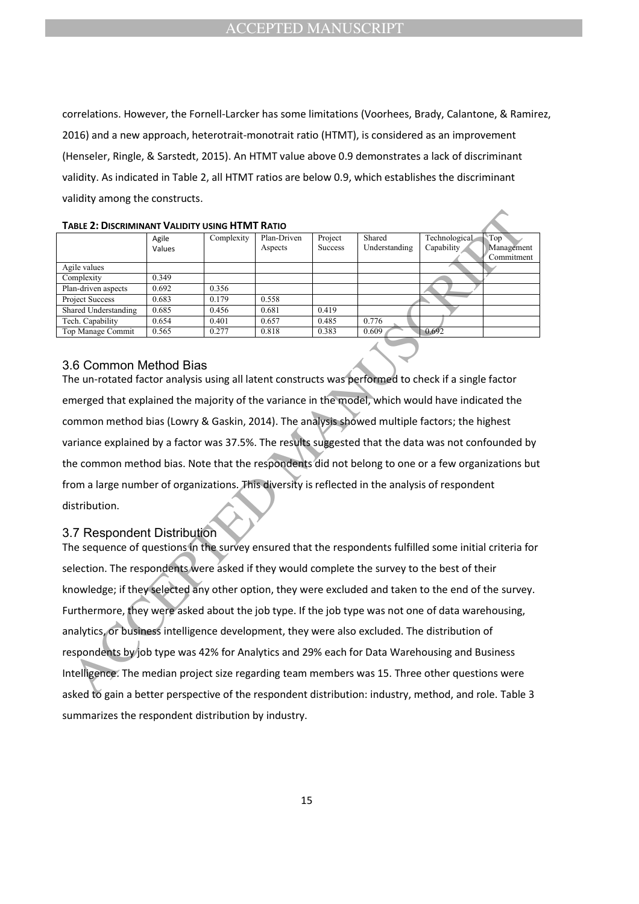correlations. However, the Fornell-Larcker has some limitations (Voorhees, Brady, Calantone, & Ramirez, 2016) and a new approach, heterotrait-monotrait ratio (HTMT), is considered as an improvement (Henseler, Ringle, & Sarstedt, 2015). An HTMT value above 0.9 demonstrates a lack of discriminant validity. As indicated in Table 2, all HTMT ratios are below 0.9, which establishes the discriminant validity among the constructs.

| <b>TABLE 2: DISCRIMINANT VALIDITY USING HTMT RATIO</b> |        |            |             |                |               |               |            |
|--------------------------------------------------------|--------|------------|-------------|----------------|---------------|---------------|------------|
|                                                        | Agile  | Complexity | Plan-Driven | Project        | Shared        | Technological | Top        |
|                                                        | Values |            | Aspects     | <b>Success</b> | Understanding | Capability    | Management |
|                                                        |        |            |             |                |               |               | Commitment |
| Agile values                                           |        |            |             |                |               |               |            |
| Complexity                                             | 0.349  |            |             |                |               |               |            |
| Plan-driven aspects                                    | 0.692  | 0.356      |             |                |               |               |            |
| <b>Project Success</b>                                 | 0.683  | 0.179      | 0.558       |                |               |               |            |
| Shared Understanding                                   | 0.685  | 0.456      | 0.681       | 0.419          |               |               |            |
| Tech. Capability                                       | 0.654  | 0.401      | 0.657       | 0.485          | 0.776         |               |            |
| Top Manage Commit                                      | 0.565  | 0.277      | 0.818       | 0.383          | 0.609         | 0.692         |            |
|                                                        |        |            |             |                |               |               |            |

## 3.6 Common Method Bias

The un-rotated factor analysis using all latent constructs was performed to check if a single factor emerged that explained the majority of the variance in the model, which would have indicated the common method bias (Lowry & Gaskin, 2014). The analysis showed multiple factors; the highest variance explained by a factor was 37.5%. The results suggested that the data was not confounded by the common method bias. Note that the respondents did not belong to one or a few organizations but from a large number of organizations. This diversity is reflected in the analysis of respondent distribution.

## 3.7 Respondent Distribution

ABLE 2: DISCRIMINANT VALIDITY USING HTMT RATIO<br>
Velvet <sup>Read</sup> Complexity Complexity The Complexity The Complexity Control Complexity Controllege (Controllege Controllege Controllege Controllege Controllege Controllege Cont The sequence of questions in the survey ensured that the respondents fulfilled some initial criteria for selection. The respondents were asked if they would complete the survey to the best of their knowledge; if they selected any other option, they were excluded and taken to the end of the survey. Furthermore, they were asked about the job type. If the job type was not one of data warehousing, analytics, or business intelligence development, they were also excluded. The distribution of respondents by job type was 42% for Analytics and 29% each for Data Warehousing and Business Intelligence. The median project size regarding team members was 15. Three other questions were asked to gain a better perspective of the respondent distribution: industry, method, and role. Table 3 summarizes the respondent distribution by industry.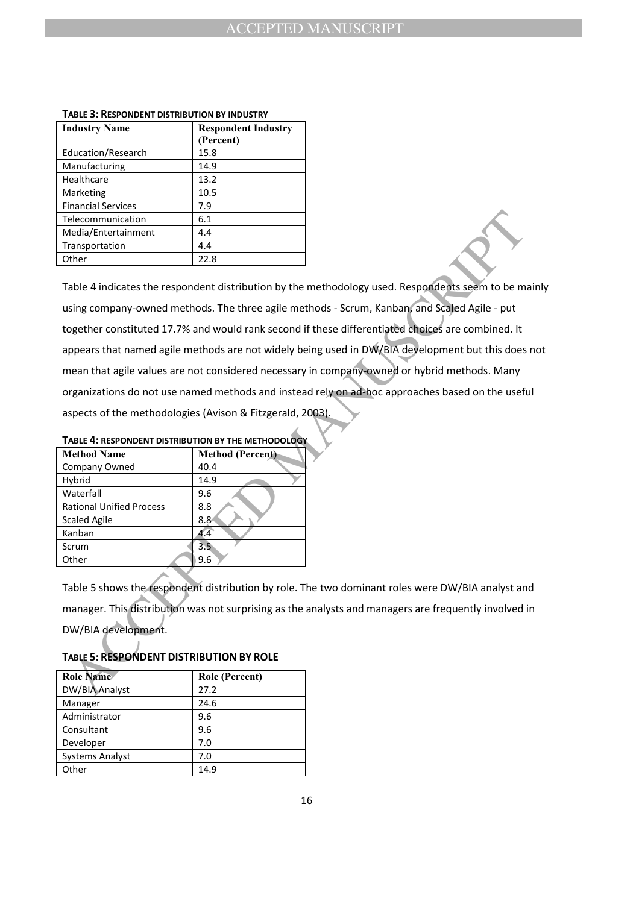| <b>Industry Name</b>      | <b>Respondent Industry</b><br>(Percent) |
|---------------------------|-----------------------------------------|
| Education/Research        | 15.8                                    |
| Manufacturing             | 14.9                                    |
| Healthcare                | 13.2                                    |
| Marketing                 | 10.5                                    |
| <b>Financial Services</b> | 7.9                                     |
| Telecommunication         | 6.1                                     |
| Media/Entertainment       | 4.4                                     |
| Transportation            | 4.4                                     |
| Other                     | 22.8                                    |

#### **TABLE 3: RESPONDENT DISTRIBUTION BY INDUSTRY**

elecommunication<br>
Media 2 for the methodology used. Response and the methodology used and the methodology used and the methodology used. Response to be mainted<br>
any company-owned methods. The three agile methods - Scrum, K Table 4 indicates the respondent distribution by the methodology used. Respondents seem to be mainly using company-owned methods. The three agile methods - Scrum, Kanban, and Scaled Agile - put together constituted 17.7% and would rank second if these differentiated choices are combined. It appears that named agile methods are not widely being used in DW/BIA development but this does not mean that agile values are not considered necessary in company-owned or hybrid methods. Many organizations do not use named methods and instead rely on ad-hoc approaches based on the useful aspects of the methodologies (Avison & Fitzgerald, 2003).

| <b>Method Name</b>              | <b>Method (Percent)</b> |
|---------------------------------|-------------------------|
| Company Owned                   | 40.4                    |
| Hybrid                          | 14.9                    |
| Waterfall                       | 9.6                     |
| <b>Rational Unified Process</b> | 8.8                     |
| <b>Scaled Agile</b>             | 8.8                     |
| Kanban                          | 4.4                     |
| Scrum                           | 3.5                     |
| Other                           | 9.6                     |
|                                 |                         |

Table 5 shows the respondent distribution by role. The two dominant roles were DW/BIA analyst and manager. This distribution was not surprising as the analysts and managers are frequently involved in DW/BIA development.

#### **TABLE 5: RESPONDENT DISTRIBUTION BY ROLE**

| <b>Role Name</b>       | <b>Role (Percent)</b> |
|------------------------|-----------------------|
| DW/BIA Analyst         | 27.2                  |
| Manager                | 24.6                  |
| Administrator          | 9.6                   |
| Consultant             | 9.6                   |
| Developer              | 7.0                   |
| <b>Systems Analyst</b> | 7.0                   |
| Other                  | 14.9                  |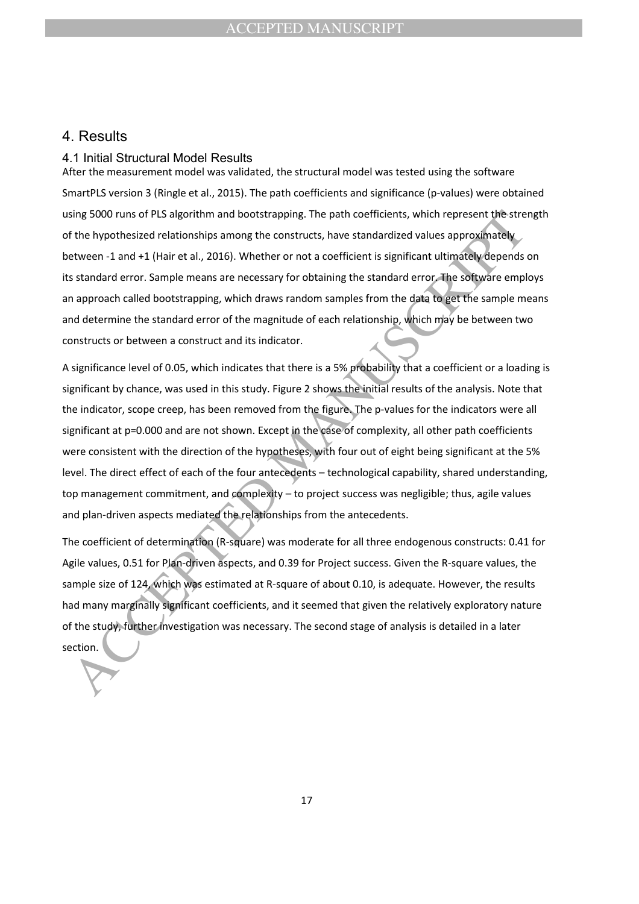# 4. Results

## 4.1 Initial Structural Model Results

After the measurement model was validated, the structural model was tested using the software SmartPLS version 3 (Ringle et al., 2015). The path coefficients and significance (p-values) were obtained using 5000 runs of PLS algorithm and bootstrapping. The path coefficients, which represent the strength of the hypothesized relationships among the constructs, have standardized values approximately between -1 and +1 (Hair et al., 2016). Whether or not a coefficient is significant ultimately depends on its standard error. Sample means are necessary for obtaining the standard error. The software employs an approach called bootstrapping, which draws random samples from the data to get the sample means and determine the standard error of the magnitude of each relationship, which may be between two constructs or between a construct and its indicator.

sing 5000 runs of PLS algorithm and bootstrapping. The path coefficients, which represent the streng<br>
the hypothesized relationships among the constructs, have standardized values approximately<br>
the hypothesized relations A significance level of 0.05, which indicates that there is a 5% probability that a coefficient or a loading is significant by chance, was used in this study. Figure 2 shows the initial results of the analysis. Note that the indicator, scope creep, has been removed from the figure. The p-values for the indicators were all significant at p=0.000 and are not shown. Except in the case of complexity, all other path coefficients were consistent with the direction of the hypotheses, with four out of eight being significant at the 5% level. The direct effect of each of the four antecedents – technological capability, shared understanding, top management commitment, and complexity – to project success was negligible; thus, agile values and plan-driven aspects mediated the relationships from the antecedents.

The coefficient of determination (R-square) was moderate for all three endogenous constructs: 0.41 for Agile values, 0.51 for Plan-driven aspects, and 0.39 for Project success. Given the R-square values, the sample size of 124, which was estimated at R-square of about 0.10, is adequate. However, the results had many marginally significant coefficients, and it seemed that given the relatively exploratory nature of the study, further investigation was necessary. The second stage of analysis is detailed in a later section.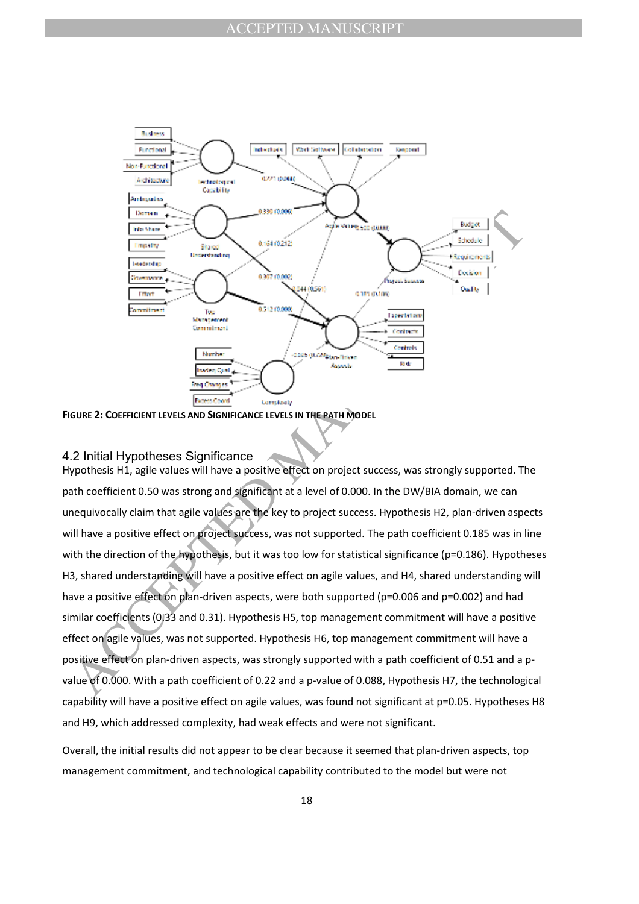

**FIGURE 2: COEFFICIENT LEVELS AND SIGNIFICANCE LEVELS IN THE PATH MODEL**

#### 4.2 Initial Hypotheses Significance

The three contents of the state of the state of the state of the state of the state of the state of the state of the state of the state of the state of the state of the state of the state of the state of the state of the Hypothesis H1, agile values will have a positive effect on project success, was strongly supported. The path coefficient 0.50 was strong and significant at a level of 0.000. In the DW/BIA domain, we can unequivocally claim that agile values are the key to project success. Hypothesis H2, plan-driven aspects will have a positive effect on project success, was not supported. The path coefficient 0.185 was in line with the direction of the hypothesis, but it was too low for statistical significance (p=0.186). Hypotheses H3, shared understanding will have a positive effect on agile values, and H4, shared understanding will have a positive effect on plan-driven aspects, were both supported (p=0.006 and p=0.002) and had similar coefficients (0J33 and 0.31). Hypothesis H5, top management commitment will have a positive effect on agile values, was not supported. Hypothesis H6, top management commitment will have a positive effect on plan-driven aspects, was strongly supported with a path coefficient of 0.51 and a pvalue of 0.000. With a path coefficient of 0.22 and a p-value of 0.088, Hypothesis H7, the technological capability will have a positive effect on agile values, was found not significant at p=0.05. Hypotheses H8 and H9, which addressed complexity, had weak effects and were not significant.

Overall, the initial results did not appear to be clear because it seemed that plan-driven aspects, top management commitment, and technological capability contributed to the model but were not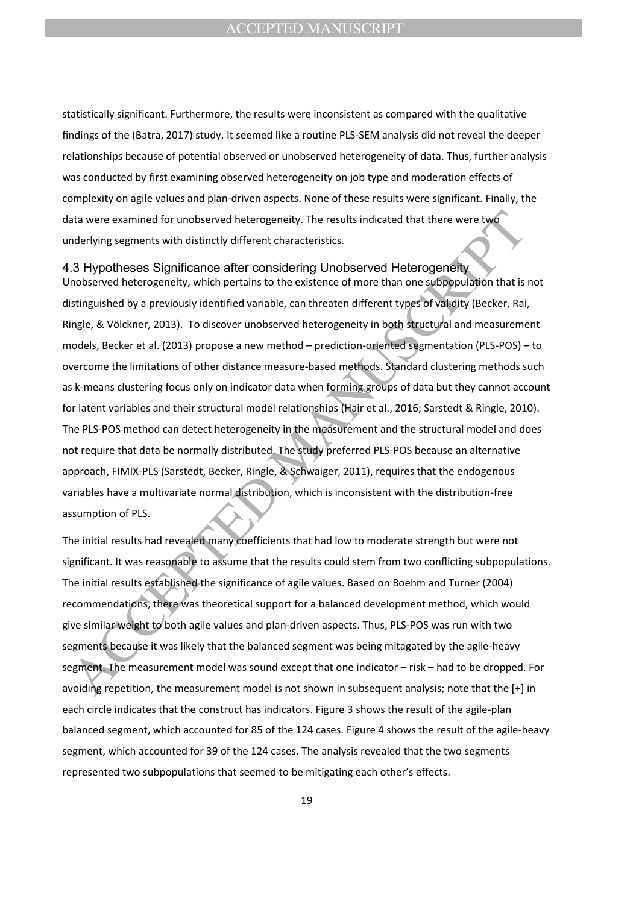statistically significant. Furthermore, the results were inconsistent as compared with the qualitative findings of the (Batra, 2017) study. It seemed like a routine PLS-SEM analysis did not reveal the deeper relationships because of potential observed or unobserved heterogeneity of data. Thus, further analysis was conducted by first examining observed heterogeneity on job type and moderation effects of complexity on agile values and plan-driven aspects. None of these results were significant. Finally, the data were examined for unobserved heterogeneity. The results indicated that there were two underlying segments with distinctly different characteristics.

### 4.3 Hypotheses Significance after considering Unobserved Heterogeneity

ata were examined for unobserved heterogeneity. The results indicated that there were two<br>derlying segments with distinctly different characteristics.<br>
3. Hypotheses Significance after considering Droboserved Heterogeneity Unobserved heterogeneity, which pertains to the existence of more than one subpopulation that is not distinguished by a previously identified variable, can threaten different types of validity (Becker, Rai, Ringle, & Völckner, 2013). To discover unobserved heterogeneity in both structural and measurement models, Becker et al. (2013) propose a new method – prediction-oriented segmentation (PLS-POS) – to overcome the limitations of other distance measure-based methods. Standard clustering methods such as k-means clustering focus only on indicator data when forming groups of data but they cannot account for latent variables and their structural model relationships (Hair et al., 2016; Sarstedt & Ringle, 2010). The PLS-POS method can detect heterogeneity in the measurement and the structural model and does not require that data be normally distributed. The study preferred PLS-POS because an alternative approach, FIMIX-PLS (Sarstedt, Becker, Ringle, & Schwaiger, 2011), requires that the endogenous variables have a multivariate normal distribution, which is inconsistent with the distribution-free assumption of PLS.

The initial results had revealed many coefficients that had low to moderate strength but were not significant. It was reasonable to assume that the results could stem from two conflicting subpopulations. The initial results established the significance of agile values. Based on Boehm and Turner (2004) recommendations, there was theoretical support for a balanced development method, which would give similar weight to both agile values and plan-driven aspects. Thus, PLS-POS was run with two segments because it was likely that the balanced segment was being mitagated by the agile-heavy segment. The measurement model was sound except that one indicator – risk – had to be dropped. For avoiding repetition, the measurement model is not shown in subsequent analysis; note that the [+] in each circle indicates that the construct has indicators. Figure 3 shows the result of the agile-plan balanced segment, which accounted for 85 of the 124 cases. Figure 4 shows the result of the agile-heavy segment, which accounted for 39 of the 124 cases. The analysis revealed that the two segments represented two subpopulations that seemed to be mitigating each other's effects.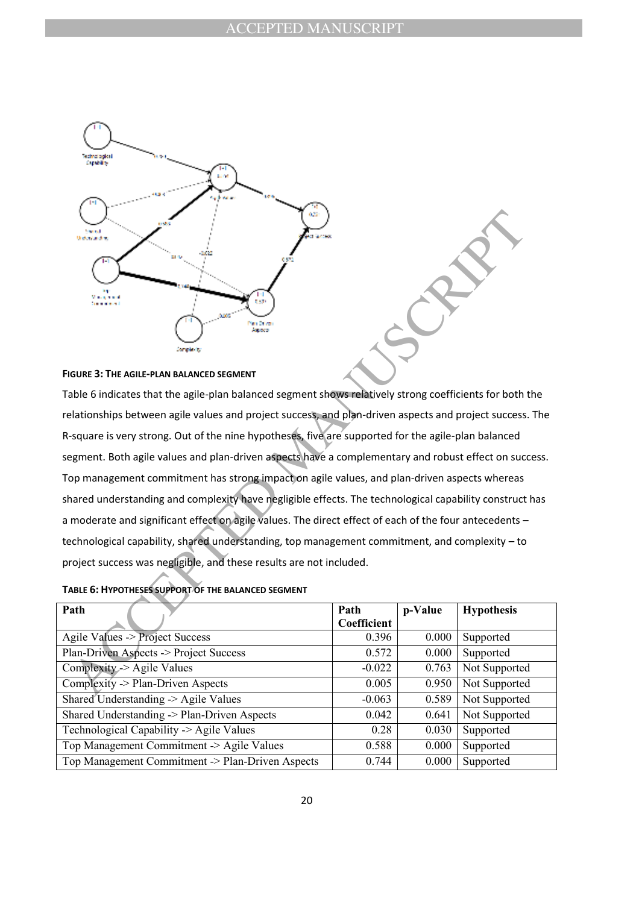

#### **FIGURE 3: THE AGILE-PLAN BALANCED SEGMENT**

Nextrinal State Particular Background Control of the specifical control of the supercolar of the supercolar control of the specifical control of the specifical state the specifical state the specifical state of the specif Table 6 indicates that the agile-plan balanced segment shows relatively strong coefficients for both the relationships between agile values and project success, and plan-driven aspects and project success. The R-square is very strong. Out of the nine hypotheses, five are supported for the agile-plan balanced segment. Both agile values and plan-driven aspects have a complementary and robust effect on success. Top management commitment has strong impact on agile values, and plan-driven aspects whereas shared understanding and complexity have negligible effects. The technological capability construct has a moderate and significant effect on agile values. The direct effect of each of the four antecedents – technological capability, shared understanding, top management commitment, and complexity – to project success was negligible, and these results are not included.

| TABLE 6: HYPOTHESES SUPPORT OF THE BALANCED SEGMENT |  |  |
|-----------------------------------------------------|--|--|
|                                                     |  |  |

| Path                                             | Path        | p-Value | <b>Hypothesis</b> |
|--------------------------------------------------|-------------|---------|-------------------|
|                                                  | Coefficient |         |                   |
| Agile Values -> Project Success                  | 0.396       | 0.000   | Supported         |
| Plan-Driven Aspects -> Project Success           | 0.572       | 0.000   | Supported         |
| Complexity -> Agile Values                       | $-0.022$    | 0.763   | Not Supported     |
| Complexity -> Plan-Driven Aspects                | 0.005       | 0.950   | Not Supported     |
| Shared Understanding -> Agile Values             | $-0.063$    | 0.589   | Not Supported     |
| Shared Understanding -> Plan-Driven Aspects      | 0.042       | 0.641   | Not Supported     |
| Technological Capability -> Agile Values         | 0.28        | 0.030   | Supported         |
| Top Management Commitment -> Agile Values        | 0.588       | 0.000   | Supported         |
| Top Management Commitment -> Plan-Driven Aspects | 0.744       | 0.000   | Supported         |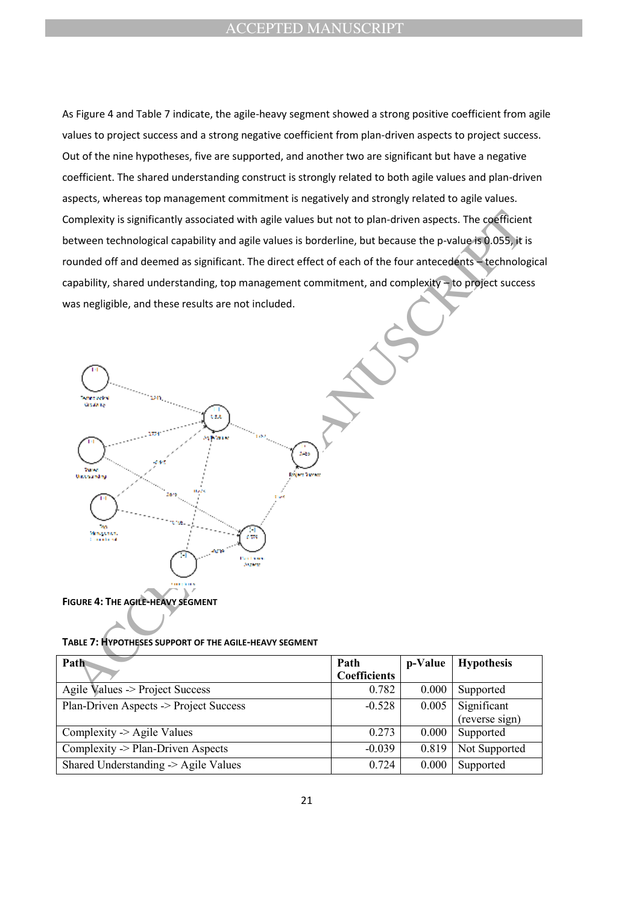As Figure 4 and Table 7 indicate, the agile-heavy segment showed a strong positive coefficient from agile values to project success and a strong negative coefficient from plan-driven aspects to project success. Out of the nine hypotheses, five are supported, and another two are significant but have a negative coefficient. The shared understanding construct is strongly related to both agile values and plan-driven aspects, whereas top management commitment is negatively and strongly related to agile values. Complexity is significantly associated with agile values but not to plan-driven aspects. The coefficient between technological capability and agile values is borderline, but because the p-value is 0.055, it is rounded off and deemed as significant. The direct effect of each of the four antecedents – technological capability, shared understanding, top management commitment, and complexity – to project success was negligible, and these results are not included.



| TABLE 7: HYPOTHESES SUPPORT OF THE AGILE-HEAVY SEGMENT |  |
|--------------------------------------------------------|--|
|                                                        |  |

| Path                                   | Path                | p-Value | <b>Hypothesis</b> |
|----------------------------------------|---------------------|---------|-------------------|
|                                        | <b>Coefficients</b> |         |                   |
| Agile Values -> Project Success        | 0.782               | 0.000   | Supported         |
| Plan-Driven Aspects -> Project Success | $-0.528$            | 0.005   | Significant       |
|                                        |                     |         | (reverse sign)    |
| Complexity -> Agile Values             | 0.273               | 0.000   | Supported         |
| Complexity -> Plan-Driven Aspects      | $-0.039$            | 0.819   | Not Supported     |
| Shared Understanding -> Agile Values   | 0.724               | 0.000   | Supported         |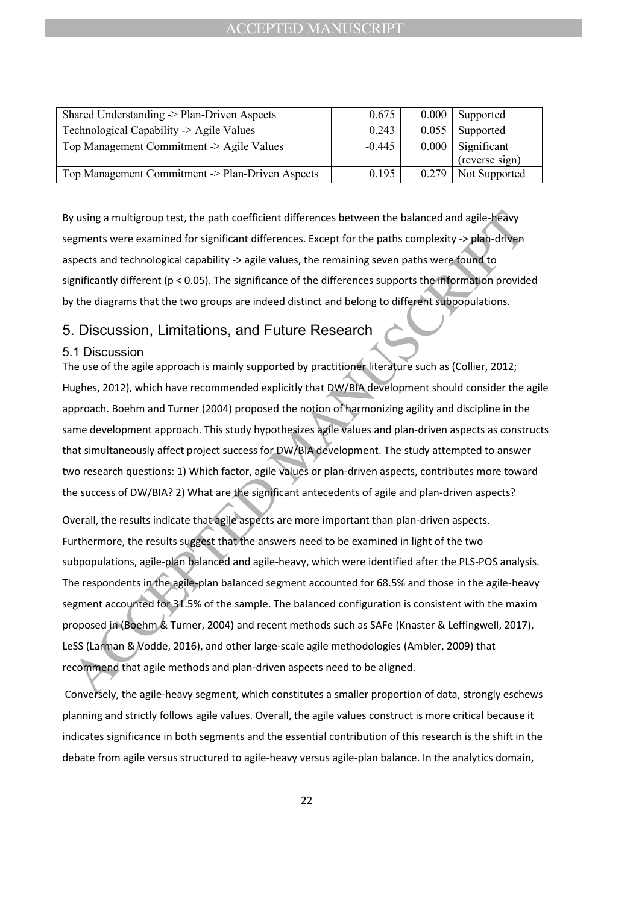| Shared Understanding -> Plan-Driven Aspects      | 0.675    | 0.000 | Supported        |
|--------------------------------------------------|----------|-------|------------------|
| Technological Capability -> Agile Values         | 0.243    | 0.055 | <b>Supported</b> |
| Top Management Commitment -> Agile Values        | $-0.445$ | 0.000 | Significant      |
|                                                  |          |       | (reverse sign)   |
| Top Management Commitment -> Plan-Driven Aspects | 0.195    | 0.279 | Not Supported    |

By using a multigroup test, the path coefficient differences between the balanced and agile-heavy segments were examined for significant differences. Except for the paths complexity -> plan-driven aspects and technological capability -> agile values, the remaining seven paths were found to significantly different (p < 0.05). The significance of the differences supports the information provided by the diagrams that the two groups are indeed distinct and belong to different subpopulations.

# 5. Discussion, Limitations, and Future Research

### 5.1 Discussion

The use of the agile approach is mainly supported by practitioner literature such as (Collier, 2012; Hughes, 2012), which have recommended explicitly that DW/BIA development should consider the agile approach. Boehm and Turner (2004) proposed the notion of harmonizing agility and discipline in the same development approach. This study hypothesizes agile values and plan-driven aspects as constructs that simultaneously affect project success for DW/BIA development. The study attempted to answer two research questions: 1) Which factor, agile values or plan-driven aspects, contributes more toward the success of DW/BIA? 2) What are the significant antecedents of agile and plan-driven aspects?

y using a multigroup test, the path coefficient differences between the balanced and agile-heavy<br>egments were examined for significant differences. Except for the paths complexity  $\sim$  plan-driven<br>spects and technological Overall, the results indicate that agile aspects are more important than plan-driven aspects. Furthermore, the results suggest that the answers need to be examined in light of the two subpopulations, agile-plan balanced and agile-heavy, which were identified after the PLS-POS analysis. The respondents in the agile-plan balanced segment accounted for 68.5% and those in the agile-heavy segment accounted for 31.5% of the sample. The balanced configuration is consistent with the maxim proposed in (Boehm & Turner, 2004) and recent methods such as SAFe (Knaster & Leffingwell, 2017), LeSS (Larman & Vodde, 2016), and other large-scale agile methodologies (Ambler, 2009) that recommend that agile methods and plan-driven aspects need to be aligned.

 Conversely, the agile-heavy segment, which constitutes a smaller proportion of data, strongly eschews planning and strictly follows agile values. Overall, the agile values construct is more critical because it indicates significance in both segments and the essential contribution of this research is the shift in the debate from agile versus structured to agile-heavy versus agile-plan balance. In the analytics domain,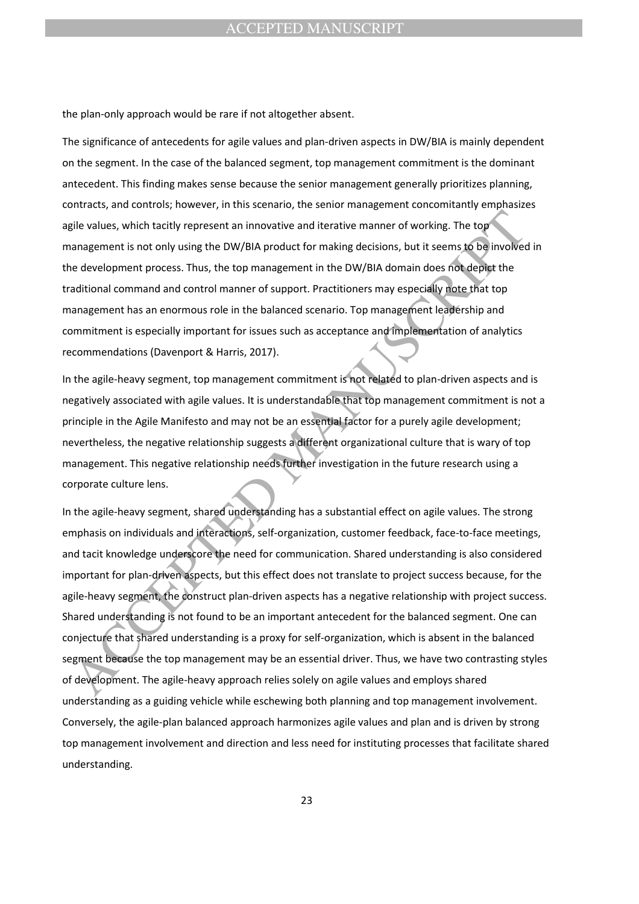the plan-only approach would be rare if not altogether absent.

The significance of antecedents for agile values and plan-driven aspects in DW/BIA is mainly dependent on the segment. In the case of the balanced segment, top management commitment is the dominant antecedent. This finding makes sense because the senior management generally prioritizes planning, contracts, and controls; however, in this scenario, the senior management concomitantly emphasizes agile values, which tacitly represent an innovative and iterative manner of working. The top management is not only using the DW/BIA product for making decisions, but it seems to be involved in the development process. Thus, the top management in the DW/BIA domain does not depict the traditional command and control manner of support. Practitioners may especially note that top management has an enormous role in the balanced scenario. Top management leadership and commitment is especially important for issues such as acceptance and implementation of analytics recommendations (Davenport & Harris, 2017).

In the agile-heavy segment, top management commitment is not related to plan-driven aspects and is negatively associated with agile values. It is understandable that top management commitment is not a principle in the Agile Manifesto and may not be an essential factor for a purely agile development; nevertheless, the negative relationship suggests a different organizational culture that is wary of top management. This negative relationship needs further investigation in the future research using a corporate culture lens.

glie values, which tacitly represent an innovative and lerative manner of working. The top<br>anagement is not only using the DW/BIA product for making decisions, but it seems 16 bg involved in<br>edevelopment process. Thus, the In the agile-heavy segment, shared understanding has a substantial effect on agile values. The strong emphasis on individuals and interactions, self-organization, customer feedback, face-to-face meetings, and tacit knowledge underscore the need for communication. Shared understanding is also considered important for plan-driven aspects, but this effect does not translate to project success because, for the agile-heavy segment, the construct plan-driven aspects has a negative relationship with project success. Shared understanding is not found to be an important antecedent for the balanced segment. One can conjecture that shared understanding is a proxy for self-organization, which is absent in the balanced segment because the top management may be an essential driver. Thus, we have two contrasting styles of development. The agile-heavy approach relies solely on agile values and employs shared understanding as a guiding vehicle while eschewing both planning and top management involvement. Conversely, the agile-plan balanced approach harmonizes agile values and plan and is driven by strong top management involvement and direction and less need for instituting processes that facilitate shared understanding.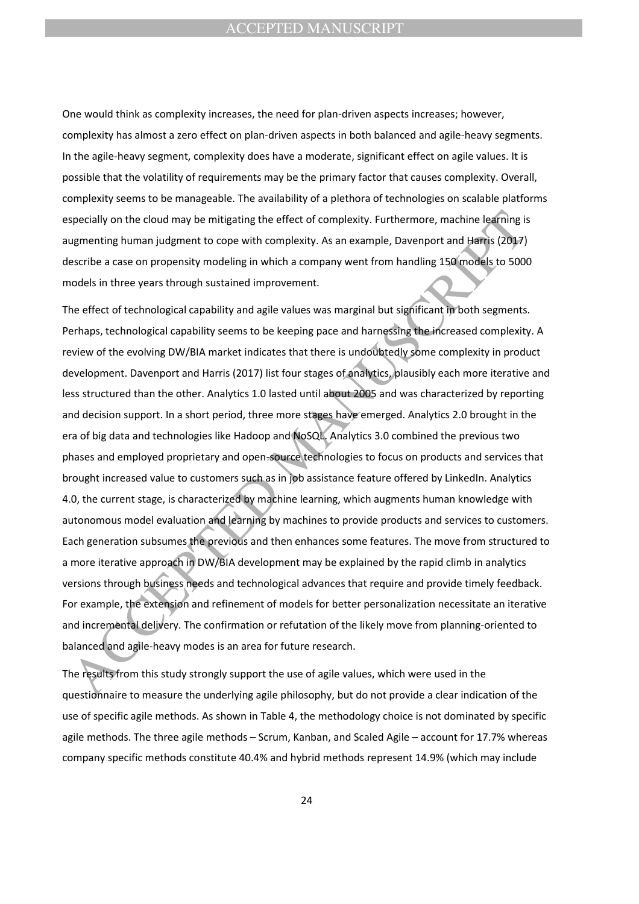One would think as complexity increases, the need for plan-driven aspects increases; however, complexity has almost a zero effect on plan-driven aspects in both balanced and agile-heavy segments. In the agile-heavy segment, complexity does have a moderate, significant effect on agile values. It is possible that the volatility of requirements may be the primary factor that causes complexity. Overall, complexity seems to be manageable. The availability of a plethora of technologies on scalable platforms especially on the cloud may be mitigating the effect of complexity. Furthermore, machine learning is augmenting human judgment to cope with complexity. As an example, Davenport and Harris (2017) describe a case on propensity modeling in which a company went from handling 150 models to 5000 models in three years through sustained improvement.

specially on the cloud may be mitigating the effect of complexity. Furthermore, machine learning is<br>gymenting human judgment to cope with complexity. As an example, Davenport and Bergis (2017)<br>accessorbe a case on propensi The effect of technological capability and agile values was marginal but significant in both segments. Perhaps, technological capability seems to be keeping pace and harnessing the increased complexity. A review of the evolving DW/BIA market indicates that there is undoubtedly some complexity in product development. Davenport and Harris (2017) list four stages of analytics, plausibly each more iterative and less structured than the other. Analytics 1.0 lasted until about 2005 and was characterized by reporting and decision support. In a short period, three more stages have emerged. Analytics 2.0 brought in the era of big data and technologies like Hadoop and NoSQL. Analytics 3.0 combined the previous two phases and employed proprietary and open-source technologies to focus on products and services that brought increased value to customers such as in job assistance feature offered by LinkedIn. Analytics 4.0, the current stage, is characterized by machine learning, which augments human knowledge with autonomous model evaluation and learning by machines to provide products and services to customers. Each generation subsumes the previous and then enhances some features. The move from structured to a more iterative approach in DW/BIA development may be explained by the rapid climb in analytics versions through business needs and technological advances that require and provide timely feedback. For example, the extension and refinement of models for better personalization necessitate an iterative and incremental delivery. The confirmation or refutation of the likely move from planning-oriented to balanced and agile-heavy modes is an area for future research.

The results from this study strongly support the use of agile values, which were used in the questionnaire to measure the underlying agile philosophy, but do not provide a clear indication of the use of specific agile methods. As shown in Table 4, the methodology choice is not dominated by specific agile methods. The three agile methods – Scrum, Kanban, and Scaled Agile – account for 17.7% whereas company specific methods constitute 40.4% and hybrid methods represent 14.9% (which may include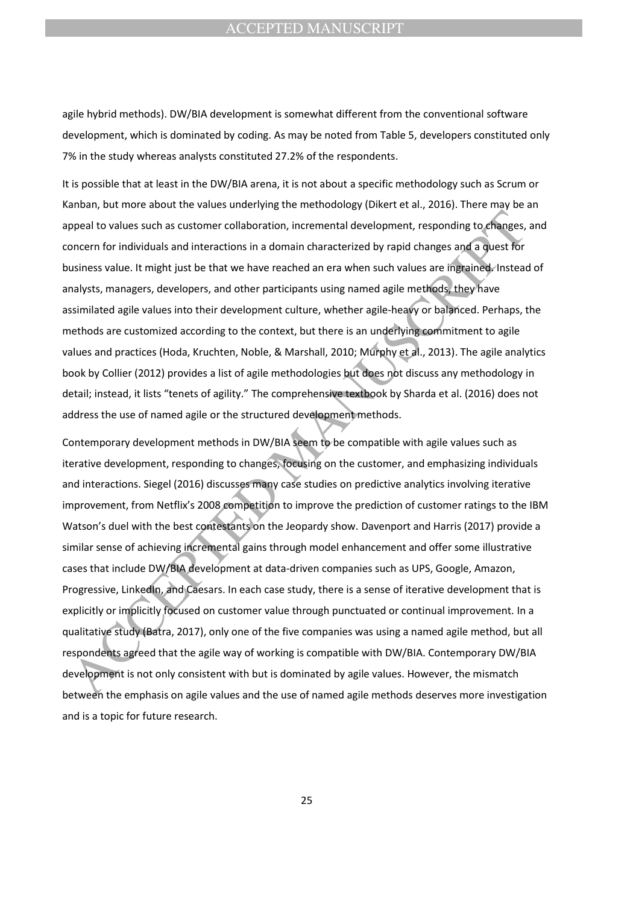agile hybrid methods). DW/BIA development is somewhat different from the conventional software development, which is dominated by coding. As may be noted from Table 5, developers constituted only 7% in the study whereas analysts constituted 27.2% of the respondents.

It is possible that at least in the DW/BIA arena, it is not about a specific methodology such as Scrum or Kanban, but more about the values underlying the methodology (Dikert et al., 2016). There may be an appeal to values such as customer collaboration, incremental development, responding to changes, and concern for individuals and interactions in a domain characterized by rapid changes and a quest for business value. It might just be that we have reached an era when such values are ingrained. Instead of analysts, managers, developers, and other participants using named agile methods, they have assimilated agile values into their development culture, whether agile-heavy or balanced. Perhaps, the methods are customized according to the context, but there is an underlying commitment to agile values and practices (Hoda, Kruchten, Noble, & Marshall, 2010; Murphy et al., 2013). The agile analytics book by Collier (2012) provides a list of agile methodologies but does not discuss any methodology in detail; instead, it lists "tenets of agility." The comprehensive textbook by Sharda et al. (2016) does not address the use of named agile or the structured development methods.

ppeal to values such as customer collaboration, incremental development, responding to changes, an<br>oncern for individuals and interactions in a domain characterized by rapid changes and a quest for<br>usiness value. It might Contemporary development methods in DW/BIA seem to be compatible with agile values such as iterative development, responding to changes, focusing on the customer, and emphasizing individuals and interactions. Siegel (2016) discusses many case studies on predictive analytics involving iterative improvement, from Netflix's 2008 competition to improve the prediction of customer ratings to the IBM Watson's duel with the best contestants on the Jeopardy show. Davenport and Harris (2017) provide a similar sense of achieving incremental gains through model enhancement and offer some illustrative cases that include DW/BIA development at data-driven companies such as UPS, Google, Amazon, Progressive, LinkedIn, and Caesars. In each case study, there is a sense of iterative development that is explicitly or implicitly focused on customer value through punctuated or continual improvement. In a qualitative study (Batra, 2017), only one of the five companies was using a named agile method, but all respondents agreed that the agile way of working is compatible with DW/BIA. Contemporary DW/BIA development is not only consistent with but is dominated by agile values. However, the mismatch between the emphasis on agile values and the use of named agile methods deserves more investigation and is a topic for future research.

25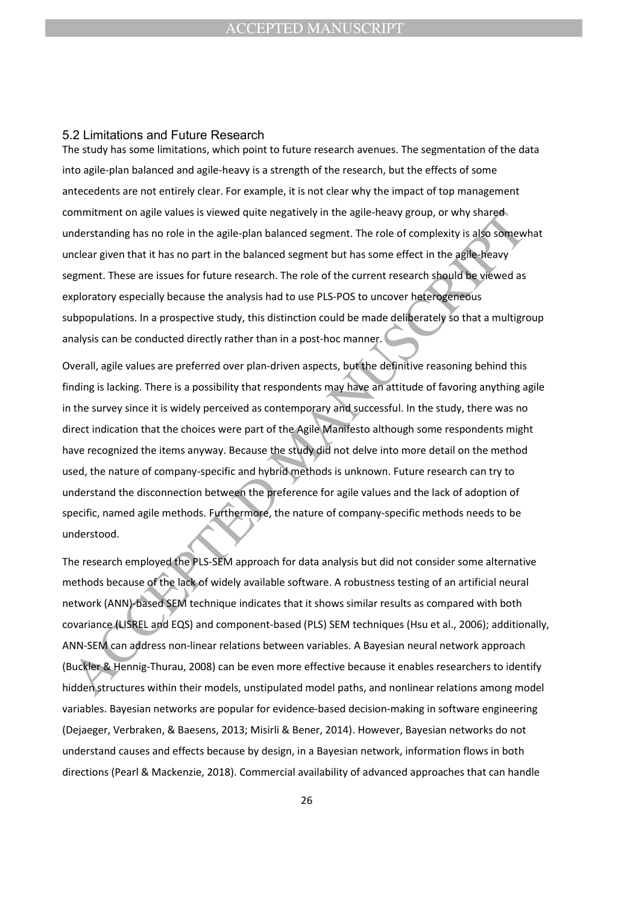#### 5.2 Limitations and Future Research

The study has some limitations, which point to future research avenues. The segmentation of the data into agile-plan balanced and agile-heavy is a strength of the research, but the effects of some antecedents are not entirely clear. For example, it is not clear why the impact of top management commitment on agile values is viewed quite negatively in the agile-heavy group, or why shared understanding has no role in the agile-plan balanced segment. The role of complexity is also somewhat unclear given that it has no part in the balanced segment but has some effect in the agile-heavy segment. These are issues for future research. The role of the current research should be viewed as exploratory especially because the analysis had to use PLS-POS to uncover heterogeneous subpopulations. In a prospective study, this distinction could be made deliberately so that a multigroup analysis can be conducted directly rather than in a post-hoc manner.

mmittment on agile values is viewed quite negatively in the agile-heavy group, or why shared<br>andestanding has no ore in the agile-pan balanced segment. The role of complexity is also comewha<br>nodes given that it has no part Overall, agile values are preferred over plan-driven aspects, but the definitive reasoning behind this finding is lacking. There is a possibility that respondents may have an attitude of favoring anything agile in the survey since it is widely perceived as contemporary and successful. In the study, there was no direct indication that the choices were part of the Agile Manifesto although some respondents might have recognized the items anyway. Because the study did not delve into more detail on the method used, the nature of company-specific and hybrid methods is unknown. Future research can try to understand the disconnection between the preference for agile values and the lack of adoption of specific, named agile methods. Furthermore, the nature of company-specific methods needs to be understood.

The research employed the PLS-SEM approach for data analysis but did not consider some alternative methods because of the lack of widely available software. A robustness testing of an artificial neural network (ANN)-based SEM technique indicates that it shows similar results as compared with both covariance (LISREL and EQS) and component-based (PLS) SEM techniques (Hsu et al., 2006); additionally, ANN-SEM can address non-linear relations between variables. A Bayesian neural network approach (Buckler & Hennig-Thurau, 2008) can be even more effective because it enables researchers to identify hidden structures within their models, unstipulated model paths, and nonlinear relations among model variables. Bayesian networks are popular for evidence-based decision-making in software engineering (Dejaeger, Verbraken, & Baesens, 2013; Misirli & Bener, 2014). However, Bayesian networks do not understand causes and effects because by design, in a Bayesian network, information flows in both directions (Pearl & Mackenzie, 2018). Commercial availability of advanced approaches that can handle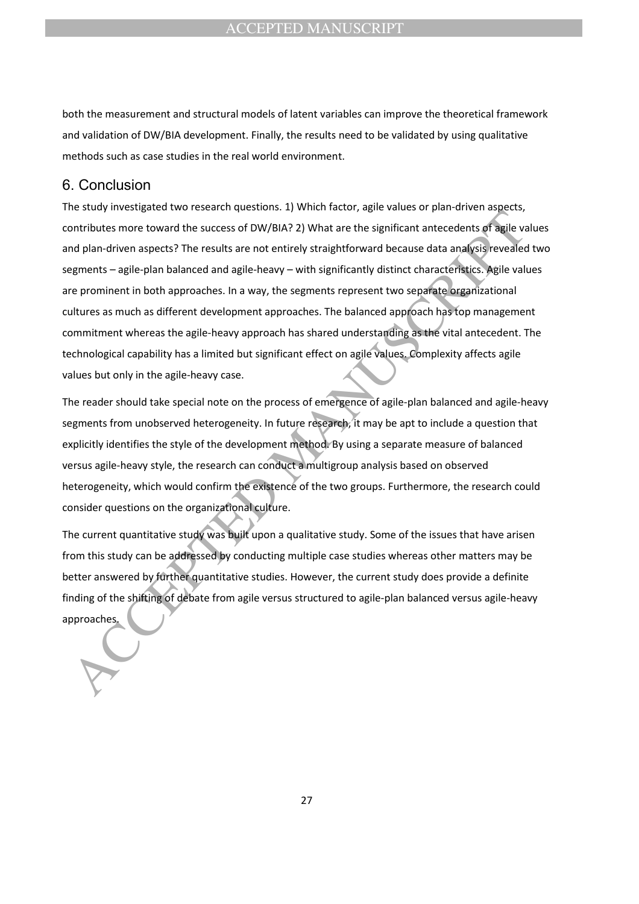both the measurement and structural models of latent variables can improve the theoretical framework and validation of DW/BIA development. Finally, the results need to be validated by using qualitative methods such as case studies in the real world environment.

# 6. Conclusion

The constraints are constrained to the success of DW/BIA? 2) What are the significant antecedents of agile value<br>ontributes more toward the success of DW/BIA? 2) What are the significant antecedents of agile value<br>agenerat The study investigated two research questions. 1) Which factor, agile values or plan-driven aspects, contributes more toward the success of DW/BIA? 2) What are the significant antecedents of agile values and plan-driven aspects? The results are not entirely straightforward because data analysis revealed two segments – agile-plan balanced and agile-heavy – with significantly distinct characteristics. Agile values are prominent in both approaches. In a way, the segments represent two separate organizational cultures as much as different development approaches. The balanced approach has top management commitment whereas the agile-heavy approach has shared understanding as the vital antecedent. The technological capability has a limited but significant effect on agile values. Complexity affects agile values but only in the agile-heavy case.

The reader should take special note on the process of emergence of agile-plan balanced and agile-heavy segments from unobserved heterogeneity. In future research, it may be apt to include a question that explicitly identifies the style of the development method. By using a separate measure of balanced versus agile-heavy style, the research can conduct a multigroup analysis based on observed heterogeneity, which would confirm the existence of the two groups. Furthermore, the research could consider questions on the organizational culture.

The current quantitative study was built upon a qualitative study. Some of the issues that have arisen from this study can be addressed by conducting multiple case studies whereas other matters may be better answered by further quantitative studies. However, the current study does provide a definite finding of the shifting of debate from agile versus structured to agile-plan balanced versus agile-heavy approaches.

27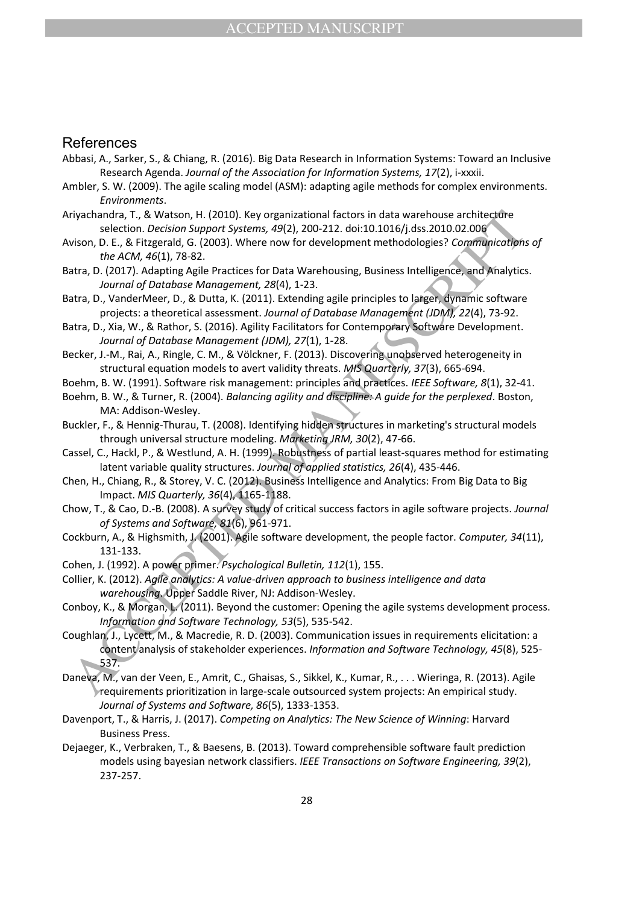## References

- Abbasi, A., Sarker, S., & Chiang, R. (2016). Big Data Research in Information Systems: Toward an Inclusive Research Agenda. *Journal of the Association for Information Systems, 17*(2), i-xxxii.
- Ambler, S. W. (2009). The agile scaling model (ASM): adapting agile methods for complex environments. *Environments*.
- Ariyachandra, T., & Watson, H. (2010). Key organizational factors in data warehouse architecture selection. *Decision Support Systems, 49*(2), 200-212. doi:10.1016/j.dss.2010.02.006
- Avison, D. E., & Fitzgerald, G. (2003). Where now for development methodologies? *Communications of the ACM, 46*(1), 78-82.
- Batra, D. (2017). Adapting Agile Practices for Data Warehousing, Business Intelligence, and Analytics. *Journal of Database Management, 28*(4), 1-23.
- Batra, D., VanderMeer, D., & Dutta, K. (2011). Extending agile principles to larger, dynamic software projects: a theoretical assessment. *Journal of Database Management (JDM), 22*(4), 73-92.
- Batra, D., Xia, W., & Rathor, S. (2016). Agility Facilitators for Contemporary Software Development. *Journal of Database Management (JDM), 27*(1), 1-28.
- Becker, J.-M., Rai, A., Ringle, C. M., & Völckner, F. (2013). Discovering unobserved heterogeneity in structural equation models to avert validity threats. *MIS Quarterly, 37*(3), 665-694.
- Boehm, B. W. (1991). Software risk management: principles and practices. *IEEE Software, 8*(1), 32-41.
- Boehm, B. W., & Turner, R. (2004). *Balancing agility and discipline: A guide for the perplexed*. Boston, MA: Addison-Wesley.
- Buckler, F., & Hennig-Thurau, T. (2008). Identifying hidden structures in marketing's structural models through universal structure modeling. *Marketing JRM, 30*(2), 47-66.
- Cassel, C., Hackl, P., & Westlund, A. H. (1999). Robustness of partial least-squares method for estimating latent variable quality structures. *Journal of applied statistics, 26*(4), 435-446.
- Chen, H., Chiang, R., & Storey, V. C. (2012). Business Intelligence and Analytics: From Big Data to Big Impact. *MIS Quarterly, 36*(4), 1165-1188.
- Chow, T., & Cao, D.-B. (2008). A survey study of critical success factors in agile software projects. *Journal of Systems and Software, 81*(6), 961-971.
- Cockburn, A., & Highsmith, J. (2001). Agile software development, the people factor. *Computer, 34*(11), 131-133.
- Cohen, J. (1992). A power primer. *Psychological Bulletin, 112*(1), 155.
- Collier, K. (2012). *Agile analytics: A value-driven approach to business intelligence and data warehousing*. Upper Saddle River, NJ: Addison-Wesley.
- Conboy, K., & Morgan, L. (2011). Beyond the customer: Opening the agile systems development process. *Information and Software Technology, 53*(5), 535-542.
- rivachandra, T., & Watston, H. (2010). Hey organizational factors in data warehouse architecture.<br>
vision, D. C. & Fitzgerald, G. (2003). Where now for development methodologies? Comminications o. D., & Fitzgerald, G. (200 Coughlan, J., Lycett, M., & Macredie, R. D. (2003). Communication issues in requirements elicitation: a content analysis of stakeholder experiences. *Information and Software Technology, 45*(8), 525- 537.
- Daneva, M., van der Veen, E., Amrit, C., Ghaisas, S., Sikkel, K., Kumar, R., . . . Wieringa, R. (2013). Agile requirements prioritization in large-scale outsourced system projects: An empirical study. *Journal of Systems and Software, 86*(5), 1333-1353.
- Davenport, T., & Harris, J. (2017). *Competing on Analytics: The New Science of Winning*: Harvard Business Press.
- Dejaeger, K., Verbraken, T., & Baesens, B. (2013). Toward comprehensible software fault prediction models using bayesian network classifiers. *IEEE Transactions on Software Engineering, 39*(2), 237-257.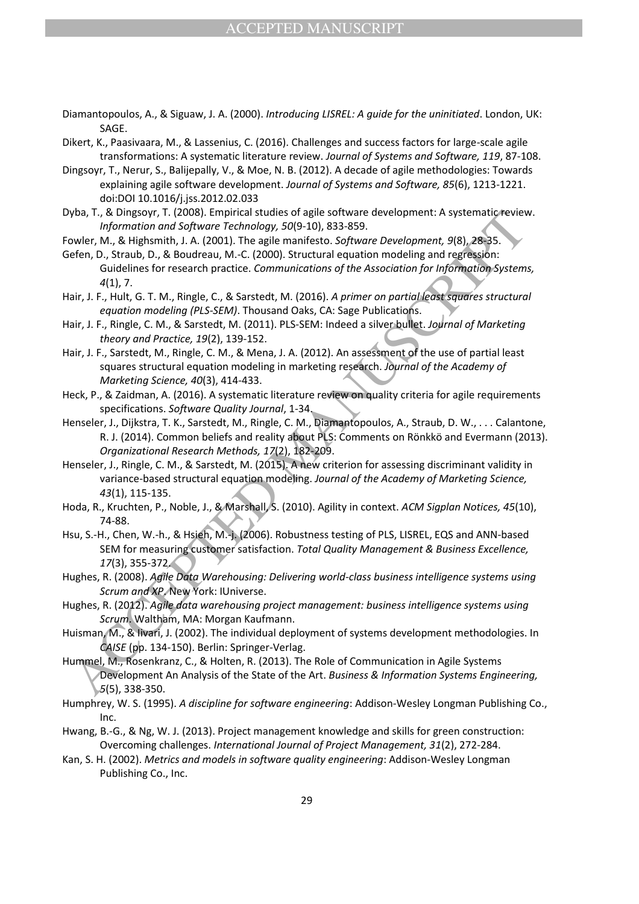- Diamantopoulos, A., & Siguaw, J. A. (2000). *Introducing LISREL: A guide for the uninitiated*. London, UK: SAGE.
- Dikert, K., Paasivaara, M., & Lassenius, C. (2016). Challenges and success factors for large-scale agile transformations: A systematic literature review. *Journal of Systems and Software, 119*, 87-108.
- Dingsoyr, T., Nerur, S., Balijepally, V., & Moe, N. B. (2012). A decade of agile methodologies: Towards explaining agile software development. *Journal of Systems and Software, 85*(6), 1213-1221. doi:DOI 10.1016/j.jss.2012.02.033
- Dyba, T., & Dingsoyr, T. (2008). Empirical studies of agile software development: A systematic review. *Information and Software Technology, 50*(9-10), 833-859.
- Fowler, M., & Highsmith, J. A. (2001). The agile manifesto. *Software Development, 9*(8), 28-35.
- Gefen, D., Straub, D., & Boudreau, M.-C. (2000). Structural equation modeling and regression: Guidelines for research practice. *Communications of the Association for Information Systems, 4*(1), 7.
- Hair, J. F., Hult, G. T. M., Ringle, C., & Sarstedt, M. (2016). *A primer on partial least squares structural equation modeling (PLS-SEM)*. Thousand Oaks, CA: Sage Publications.
- Hair, J. F., Ringle, C. M., & Sarstedt, M. (2011). PLS-SEM: Indeed a silver bullet. *Journal of Marketing theory and Practice, 19*(2), 139-152.
- Hair, J. F., Sarstedt, M., Ringle, C. M., & Mena, J. A. (2012). An assessment of the use of partial least squares structural equation modeling in marketing research. *Journal of the Academy of Marketing Science, 40*(3), 414-433.
- Heck, P., & Zaidman, A. (2016). A systematic literature review on quality criteria for agile requirements specifications. *Software Quality Journal*, 1-34.
- Henseler, J., Dijkstra, T. K., Sarstedt, M., Ringle, C. M., Diamantopoulos, A., Straub, D. W., . . . Calantone, R. J. (2014). Common beliefs and reality about PLS: Comments on Rönkkö and Evermann (2013). *Organizational Research Methods, 17*(2), 182-209.
- Henseler, J., Ringle, C. M., & Sarstedt, M. (2015). A new criterion for assessing discriminant validity in variance-based structural equation modeling. *Journal of the Academy of Marketing Science, 43*(1), 115-135.
- Hoda, R., Kruchten, P., Noble, J., & Marshall, S. (2010). Agility in context. *ACM Sigplan Notices, 45*(10), 74-88.
- Hsu, S.-H., Chen, W.-h., & Hsieh, M.-j. (2006). Robustness testing of PLS, LISREL, EQS and ANN-based SEM for measuring customer satisfaction. *Total Quality Management & Business Excellence, 17*(3), 355-372.
- Hughes, R. (2008). *Agile Data Warehousing: Delivering world-class business intelligence systems using Scrum and XP*. New York: IUniverse.
- Hughes, R. (2012). *Agile data warehousing project management: business intelligence systems using Scrum*. Waltham, MA: Morgan Kaufmann.
- Huisman, M., & Iivari, J. (2002). The individual deployment of systems development methodologies. In *CAISE* (pp. 134-150). Berlin: Springer-Verlag.
- (bas. T., & Dingsoyr, T. (2008). Empirical studies of agile software rechange software rechange software rechange software. May temperate the element of the ASC element of the ASC element of the ASC element of the ASC ele Hummel, M., Rosenkranz, C., & Holten, R. (2013). The Role of Communication in Agile Systems Development An Analysis of the State of the Art. *Business & Information Systems Engineering, 5*(5), 338-350.
- Humphrey, W. S. (1995). *A discipline for software engineering*: Addison-Wesley Longman Publishing Co., Inc.
- Hwang, B.-G., & Ng, W. J. (2013). Project management knowledge and skills for green construction: Overcoming challenges. *International Journal of Project Management, 31*(2), 272-284.
- Kan, S. H. (2002). *Metrics and models in software quality engineering*: Addison-Wesley Longman Publishing Co., Inc.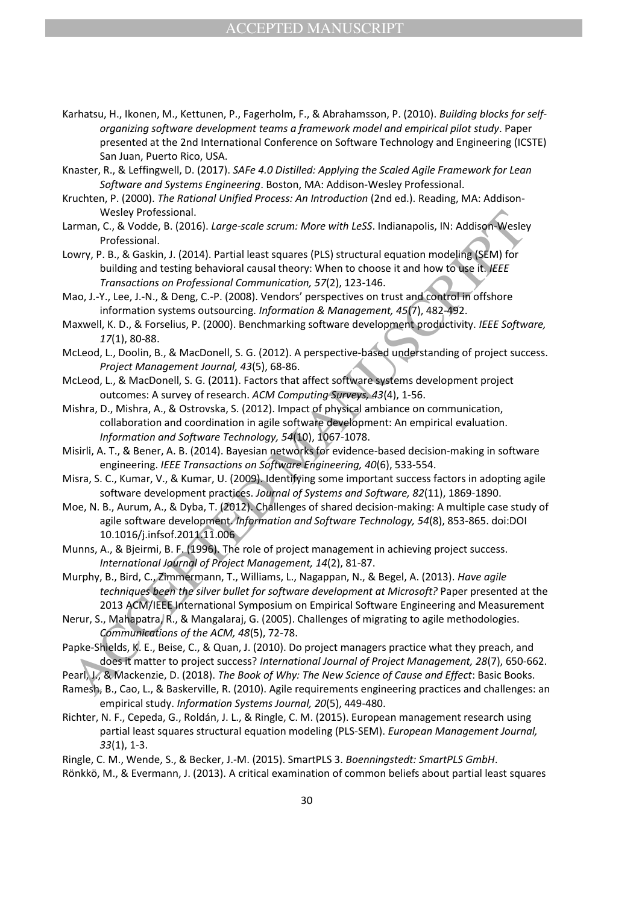- Karhatsu, H., Ikonen, M., Kettunen, P., Fagerholm, F., & Abrahamsson, P. (2010). *Building blocks for selforganizing software development teams a framework model and empirical pilot study*. Paper presented at the 2nd International Conference on Software Technology and Engineering (ICSTE) San Juan, Puerto Rico, USA.
- Knaster, R., & Leffingwell, D. (2017). *SAFe 4.0 Distilled: Applying the Scaled Agile Framework for Lean Software and Systems Engineering*. Boston, MA: Addison-Wesley Professional.
- Kruchten, P. (2000). *The Rational Unified Process: An Introduction* (2nd ed.). Reading, MA: Addison-Wesley Professional.
- Larman, C., & Vodde, B. (2016). *Large-scale scrum: More with LeSS*. Indianapolis, IN: Addison-Wesley Professional.
- Lowry, P. B., & Gaskin, J. (2014). Partial least squares (PLS) structural equation modeling (SEM) for building and testing behavioral causal theory: When to choose it and how to use it. *IEEE Transactions on Professional Communication, 57*(2), 123-146.
- Mao, J.-Y., Lee, J.-N., & Deng, C.-P. (2008). Vendors' perspectives on trust and control in offshore information systems outsourcing. *Information & Management, 45*(7), 482-492.
- Maxwell, K. D., & Forselius, P. (2000). Benchmarking software development productivity. *IEEE Software, 17*(1), 80-88.
- McLeod, L., Doolin, B., & MacDonell, S. G. (2012). A perspective‐based understanding of project success. *Project Management Journal, 43*(5), 68-86.
- McLeod, L., & MacDonell, S. G. (2011). Factors that affect software systems development project outcomes: A survey of research. *ACM Computing Surveys, 43*(4), 1-56.
- Mishra, D., Mishra, A., & Ostrovska, S. (2012). Impact of physical ambiance on communication, collaboration and coordination in agile software development: An empirical evaluation. *Information and Software Technology, 54*(10), 1067-1078.
- Misirli, A. T., & Bener, A. B. (2014). Bayesian networks for evidence-based decision-making in software engineering. *IEEE Transactions on Software Engineering, 40*(6), 533-554.
- Misra, S. C., Kumar, V., & Kumar, U. (2009). Identifying some important success factors in adopting agile software development practices. *Journal of Systems and Software, 82*(11), 1869-1890.
- Wesley Protessional.<br>
2013). Lorge-scale scrum: More with LeSS. Indianapolis, IN: AddisgreWesley<br>
Professional.<br>
Professional. (2014). Partial least squares (PLS) structural equation modeling (SEM) for<br>
butiling and esting Moe, N. B., Aurum, A., & Dyba, T. (2012). Challenges of shared decision-making: A multiple case study of agile software development. *Information and Software Technology, 54*(8), 853-865. doi:DOI 10.1016/j.infsof.2011.11.006
- Munns, A., & Bjeirmi, B. F. (1996). The role of project management in achieving project success. *International Journal of Project Management, 14*(2), 81-87.
- Murphy, B., Bird, C., Zimmermann, T., Williams, L., Nagappan, N., & Begel, A. (2013). *Have agile techniques been the silver bullet for software development at Microsoft?* Paper presented at the 2013 ACM/IEEE International Symposium on Empirical Software Engineering and Measurement
- Nerur, S., Mahapatra, R., & Mangalaraj, G. (2005). Challenges of migrating to agile methodologies. *Communications of the ACM, 48*(5), 72-78.
- Papke-Shields, K. E., Beise, C., & Quan, J. (2010). Do project managers practice what they preach, and does it matter to project success? *International Journal of Project Management, 28*(7), 650-662.
- Pearl, J., & Mackenzie, D. (2018). *The Book of Why: The New Science of Cause and Effect*: Basic Books.
- Ramesh, B., Cao, L., & Baskerville, R. (2010). Agile requirements engineering practices and challenges: an empirical study. *Information Systems Journal, 20*(5), 449-480.
- Richter, N. F., Cepeda, G., Roldán, J. L., & Ringle, C. M. (2015). European management research using partial least squares structural equation modeling (PLS-SEM). *European Management Journal, 33*(1), 1-3.
- Ringle, C. M., Wende, S., & Becker, J.-M. (2015). SmartPLS 3. *Boenningstedt: SmartPLS GmbH*.
- Rönkkö, M., & Evermann, J. (2013). A critical examination of common beliefs about partial least squares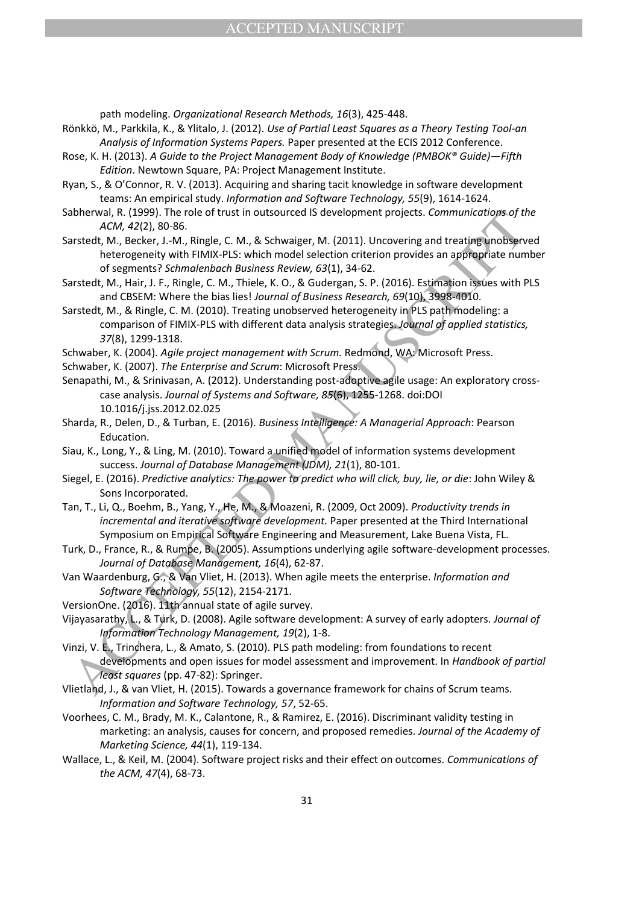path modeling. *Organizational Research Methods, 16*(3), 425-448.

- Rönkkö, M., Parkkila, K., & Ylitalo, J. (2012). *Use of Partial Least Squares as a Theory Testing Tool-an Analysis of Information Systems Papers.* Paper presented at the ECIS 2012 Conference.
- Rose, K. H. (2013). *A Guide to the Project Management Body of Knowledge (PMBOK® Guide)—Fifth Edition*. Newtown Square, PA: Project Management Institute.
- Ryan, S., & O'Connor, R. V. (2013). Acquiring and sharing tacit knowledge in software development teams: An empirical study. *Information and Software Technology, 55*(9), 1614-1624.
- Sabherwal, R. (1999). The role of trust in outsourced IS development projects. *Communications of the ACM, 42*(2), 80-86.
- Sarstedt, M., Becker, J.-M., Ringle, C. M., & Schwaiger, M. (2011). Uncovering and treating unobserved heterogeneity with FIMIX-PLS: which model selection criterion provides an appropriate number of segments? *Schmalenbach Business Review, 63*(1), 34-62.
- Sarstedt, M., Hair, J. F., Ringle, C. M., Thiele, K. O., & Gudergan, S. P. (2016). Estimation issues with PLS and CBSEM: Where the bias lies! *Journal of Business Research, 69*(10), 3998-4010.
- Sarstedt, M., & Ringle, C. M. (2010). Treating unobserved heterogeneity in PLS path modeling: a comparison of FIMIX-PLS with different data analysis strategies. *Journal of applied statistics, 37*(8), 1299-1318.
- Schwaber, K. (2004). *Agile project management with Scrum.* Redmond, WA: Microsoft Press.
- Schwaber, K. (2007). *The Enterprise and Scrum*: Microsoft Press.
- Senapathi, M., & Srinivasan, A. (2012). Understanding post-adoptive agile usage: An exploratory crosscase analysis. *Journal of Systems and Software, 85*(6), 1255-1268. doi:DOI 10.1016/j.jss.2012.02.025
- Sharda, R., Delen, D., & Turban, E. (2016). *Business Intelligence: A Managerial Approach*: Pearson Education.
- Siau, K., Long, Y., & Ling, M. (2010). Toward a unified model of information systems development success. *Journal of Database Management (JDM), 21*(1), 80-101.
- Siegel, E. (2016). *Predictive analytics: The power to predict who will click, buy, lie, or die*: John Wiley & Sons Incorporated.
- abherwal, (1999), The Trele of Irust in outsourced IS development projects. Communications of the<br>ACM, AC(2), 80-86.<br>
MA-CEP, J.-M, inlingle, C. M, & Schwaliger, M. (2011). Uncovering and treating involvements<br>
of segments Tan, T., Li, Q., Boehm, B., Yang, Y., He, M., & Moazeni, R. (2009, Oct 2009). *Productivity trends in incremental and iterative software development.* Paper presented at the Third International Symposium on Empirical Software Engineering and Measurement, Lake Buena Vista, FL.
- Turk, D., France, R., & Rumpe, B. (2005). Assumptions underlying agile software-development processes. *Journal of Database Management, 16*(4), 62-87.
- Van Waardenburg, G., & Van Vliet, H. (2013). When agile meets the enterprise. *Information and Software Technology, 55*(12), 2154-2171.
- VersionOne. (2016). 11th annual state of agile survey.
- Vijayasarathy, L., & Turk, D. (2008). Agile software development: A survey of early adopters. *Journal of Information Technology Management, 19*(2), 1-8.
- Vinzi, V. E., Trinchera, L., & Amato, S. (2010). PLS path modeling: from foundations to recent developments and open issues for model assessment and improvement. In *Handbook of partial least squares* (pp. 47-82): Springer.
- Vlietland, J., & van Vliet, H. (2015). Towards a governance framework for chains of Scrum teams. *Information and Software Technology, 57*, 52-65.
- Voorhees, C. M., Brady, M. K., Calantone, R., & Ramirez, E. (2016). Discriminant validity testing in marketing: an analysis, causes for concern, and proposed remedies. *Journal of the Academy of Marketing Science, 44*(1), 119-134.
- Wallace, L., & Keil, M. (2004). Software project risks and their effect on outcomes. *Communications of the ACM, 47*(4), 68-73.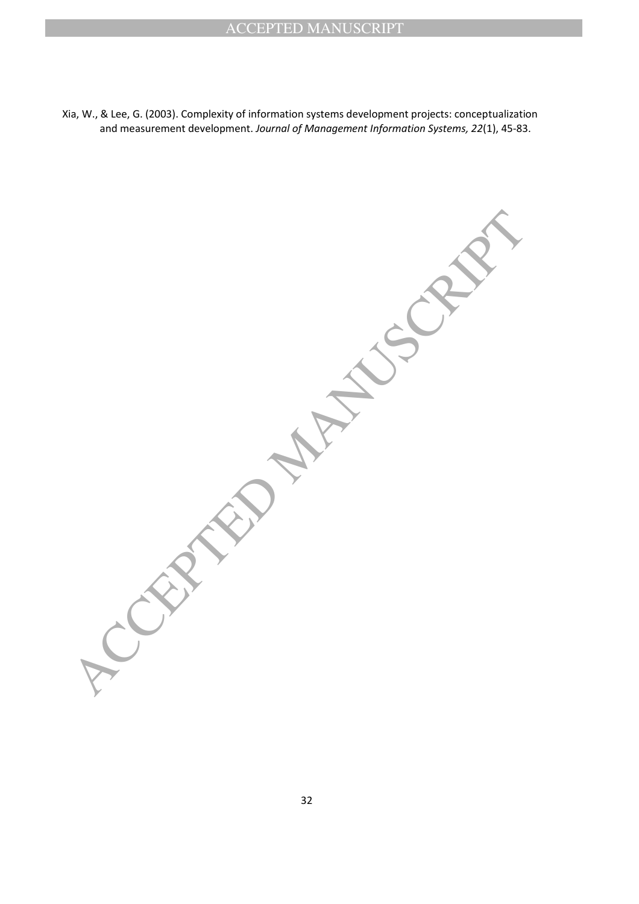Xia, W., & Lee, G. (2003). Complexity of information systems development projects: conceptualization and measurement development. *Journal of Management Information Systems, 22*(1), 45-83.

ACCEPTED MANUSCRIPT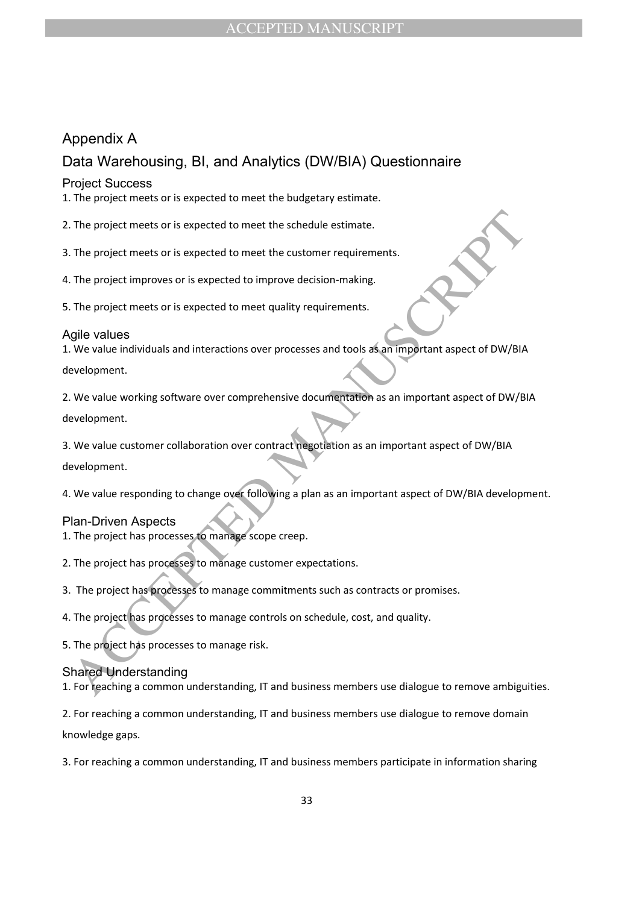# Appendix A

# Data Warehousing, BI, and Analytics (DW/BIA) Questionnaire

# Project Success

1. The project meets or is expected to meet the budgetary estimate.

2. The project meets or is expected to meet the schedule estimate.

3. The project meets or is expected to meet the customer requirements.

4. The project improves or is expected to improve decision-making.

5. The project meets or is expected to meet quality requirements.

# Agile values

1. We value individuals and interactions over processes and tools as an important aspect of DW/BIA development.

The project meets or is expected to meet the schedule estimate.<br>
The project meets or is expected to mere the customer requirements.<br>
The project meets or is expected to meprove decision-making.<br>
The project meets or is ex 2. We value working software over comprehensive documentation as an important aspect of DW/BIA development.

3. We value customer collaboration over contract negotiation as an important aspect of DW/BIA development.

4. We value responding to change over following a plan as an important aspect of DW/BIA development.

# Plan-Driven Aspects

- 1. The project has processes to manage scope creep.
- 2. The project has processes to manage customer expectations.
- 3. The project has processes to manage commitments such as contracts or promises.
- 4. The project has processes to manage controls on schedule, cost, and quality.
- 5. The project has processes to manage risk.

# Shared Understanding

1. For reaching a common understanding, IT and business members use dialogue to remove ambiguities.

2. For reaching a common understanding, IT and business members use dialogue to remove domain

knowledge gaps.

3. For reaching a common understanding, IT and business members participate in information sharing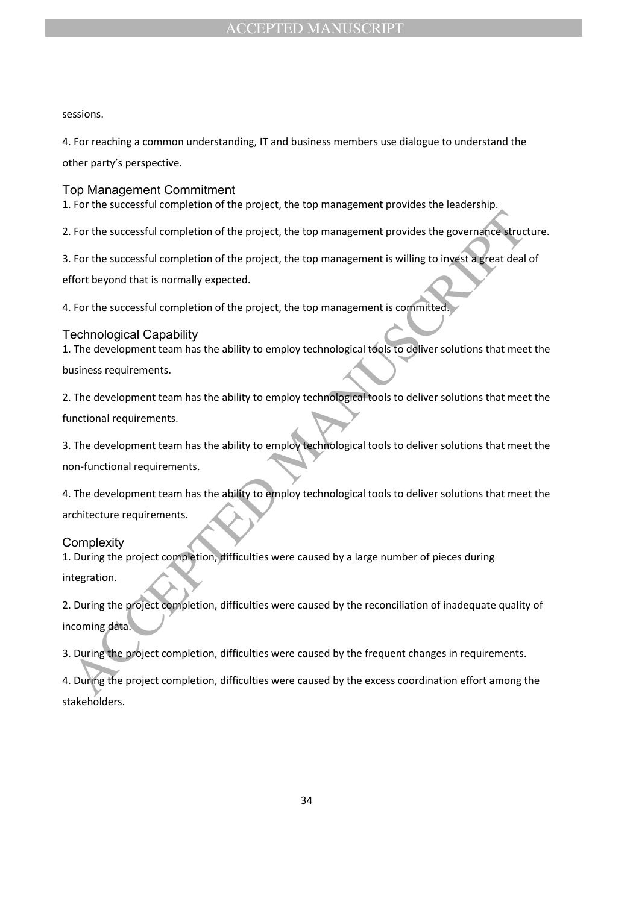sessions.

4. For reaching a common understanding, IT and business members use dialogue to understand the other party's perspective.

## Top Management Commitment

1. For the successful completion of the project, the top management provides the leadership.

2. For the successful completion of the project, the top management provides the governance structure.

3. For the successful completion of the project, the top management is willing to invest a great deal of

effort beyond that is normally expected.

4. For the successful completion of the project, the top management is committed.

## Technological Capability

1. The development team has the ability to employ technological tools to deliver solutions that meet the business requirements.

2. The development team has the ability to employ technological tools to deliver solutions that meet the functional requirements.

3. The development team has the ability to employ technological tools to deliver solutions that meet the non-functional requirements.

For the successful completion of the project, the top management provides the governance structure.<br>
For the successful completion of the project, the top management is willing to invested arructure.<br>
For the successful co 4. The development team has the ability to employ technological tools to deliver solutions that meet the architecture requirements.

## **Complexity**

1. During the project completion, difficulties were caused by a large number of pieces during integration.

2. During the project completion, difficulties were caused by the reconciliation of inadequate quality of incoming data.

3. During the project completion, difficulties were caused by the frequent changes in requirements.

4. During the project completion, difficulties were caused by the excess coordination effort among the stakeholders.